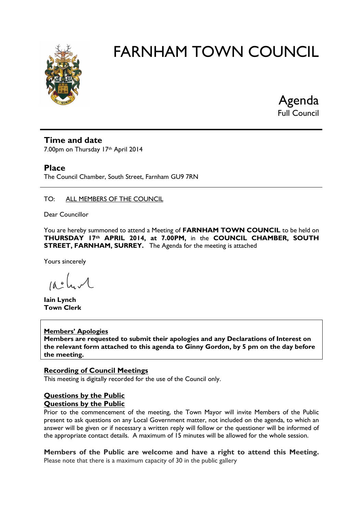

Agenda Full Council

# **Time and date**

7.00pm on Thursday 17th April 2014

# **Place**

The Council Chamber, South Street, Farnham GU9 7RN

# TO: ALL MEMBERS OF THE COUNCIL

Dear Councillor

You are hereby summoned to attend a Meeting of **FARNHAM TOWN COUNCIL** to be held on **THURSDAY 17th APRIL 2014, at 7.00PM,** in the **COUNCIL CHAMBER, SOUTH STREET, FARNHAM, SURREY.** The Agenda for the meeting is attached

Yours sincerely

 $10.0$ 

**Iain Lynch Town Clerk**

# **Members' Apologies**

**Members are requested to submit their apologies and any Declarations of Interest on the relevant form attached to this agenda to Ginny Gordon, by 5 pm on the day before the meeting.**

# **Recording of Council Meetings**

This meeting is digitally recorded for the use of the Council only.

# **Questions by the Public Questions by the Public**

Prior to the commencement of the meeting, the Town Mayor will invite Members of the Public present to ask questions on any Local Government matter, not included on the agenda, to which an answer will be given or if necessary a written reply will follow or the questioner will be informed of the appropriate contact details. A maximum of 15 minutes will be allowed for the whole session.

**Members of the Public are welcome and have a right to attend this Meeting.**  Please note that there is a maximum capacity of 30 in the public gallery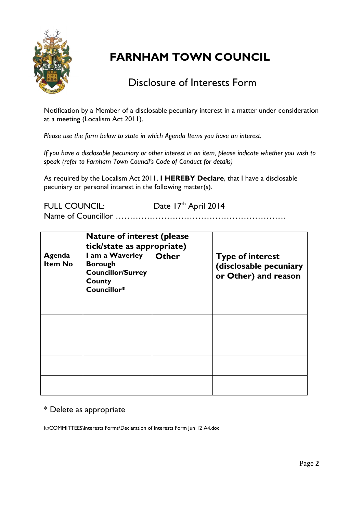

# Disclosure of Interests Form

Notification by a Member of a disclosable pecuniary interest in a matter under consideration at a meeting (Localism Act 2011).

*Please use the form below to state in which Agenda Items you have an interest.* 

*If you have a disclosable pecuniary or other interest in an item, please indicate whether you wish to speak (refer to Farnham Town Council's Code of Conduct for details)*

As required by the Localism Act 2011, **I HEREBY Declare**, that I have a disclosable pecuniary or personal interest in the following matter(s).

FULL COUNCIL: Date 17th April 2014 Name of Councillor ……………………………………………………

|                          | <b>Nature of interest (please</b><br>tick/state as appropriate)                        |              |                                                                           |
|--------------------------|----------------------------------------------------------------------------------------|--------------|---------------------------------------------------------------------------|
| Agenda<br><b>Item No</b> | I am a Waverley<br><b>Borough</b><br><b>Councillor/Surrey</b><br>County<br>Councillor* | <b>Other</b> | <b>Type of interest</b><br>(disclosable pecuniary<br>or Other) and reason |
|                          |                                                                                        |              |                                                                           |
|                          |                                                                                        |              |                                                                           |
|                          |                                                                                        |              |                                                                           |
|                          |                                                                                        |              |                                                                           |
|                          |                                                                                        |              |                                                                           |

# \* Delete as appropriate

k:\COMMITTEES\Interests Forms\Declaration of Interests Form Jun 12 A4.doc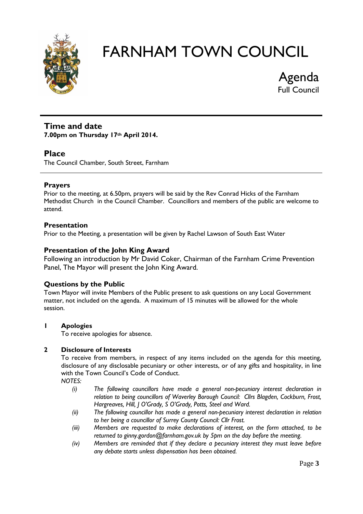

Agenda Full Council

# **Time and date 7.00pm on Thursday 17th April 2014.**

# **Place**

The Council Chamber, South Street, Farnham

# **Prayers**

Prior to the meeting, at 6.50pm, prayers will be said by the Rev Conrad Hicks of the Farnham Methodist Church in the Council Chamber. Councillors and members of the public are welcome to attend.

# **Presentation**

Prior to the Meeting, a presentation will be given by Rachel Lawson of South East Water

# **Presentation of the John King Award**

Following an introduction by Mr David Coker, Chairman of the Farnham Crime Prevention Panel, The Mayor will present the John King Award.

# **Questions by the Public**

Town Mayor will invite Members of the Public present to ask questions on any Local Government matter, not included on the agenda. A maximum of 15 minutes will be allowed for the whole session.

# **1 Apologies**

To receive apologies for absence.

# **2 Disclosure of Interests**

To receive from members, in respect of any items included on the agenda for this meeting, disclosure of any disclosable pecuniary or other interests, or of any gifts and hospitality, in line with the Town Council's Code of Conduct.

*NOTES:*

- *(i) The following councillors have made a general non-pecuniary interest declaration in relation to being councillors of Waverley Borough Council: Cllrs Blagden, Cockburn, Frost, Hargreaves, Hill, J O'Grady, S O'Grady, Potts, Steel and Ward.*
- *(ii) The following councillor has made a general non-pecuniary interest declaration in relation to her being a councillor of Surrey County Council: Cllr Frost.*
- *(iii) Members are requested to make declarations of interest, on the form attached, to be returned to ginny.gordon@farnham.gov.uk by 5pm on the day before the meeting.*
- *(iv) Members are reminded that if they declare a pecuniary interest they must leave before any debate starts unless dispensation has been obtained.*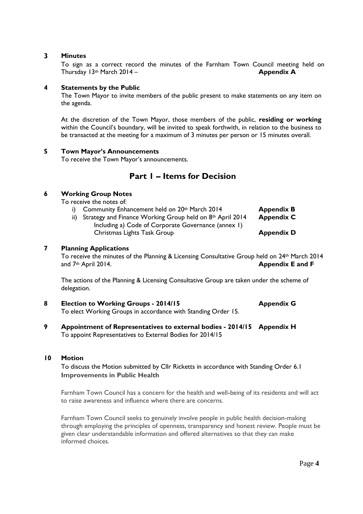# **3 Minutes**

To sign as a correct record the minutes of the Farnham Town Council meeting held on Thursday 13th March 2014 – **Appendix A**

# **4 Statements by the Public**

The Town Mayor to invite members of the public present to make statements on any item on the agenda.

At the discretion of the Town Mayor, those members of the public, **residing or working** within the Council's boundary, will be invited to speak forthwith, in relation to the business to be transacted at the meeting for a maximum of 3 minutes per person or 15 minutes overall.

# **5 Town Mayor's Announcements**

To receive the Town Mayor's announcements.

# **Part 1 – Items for Decision**

# **6 Working Group Notes**

To receive the notes of:

- i) Community Enhancement held on 20<sup>th</sup> March 2014 **Appendix B** ii) Strategy and Finance Working Group held on 8th April 2014 **Appendix C** Including a) Code of Corporate Governance (annex 1)
	- Christmas Lights Task Group **Appendix D**

## **7 Planning Applications**

To receive the minutes of the Planning & Licensing Consultative Group held on 24<sup>th</sup> March 2014 and 7th April 2014. **Appendix E and F**

The actions of the Planning & Licensing Consultative Group are taken under the scheme of delegation.

- **8 Election to Working Groups - 2014/15 Appendix G** To elect Working Groups in accordance with Standing Order 15.
- **9 Appointment of Representatives to external bodies - 2014/15 Appendix H** To appoint Representatives to External Bodies for 2014/15

## **10 Motion**

To discuss the Motion submitted by Cllr Ricketts in accordance with Standing Order 6.1 **Improvements in Public Health**

Farnham Town Council has a concern for the health and well-being of its residents and will act to raise awareness and influence where there are concerns.

Farnham Town Council seeks to genuinely involve people in public health decision-making through employing the principles of openness, transparency and honest review. People must be given clear understandable information and offered alternatives so that they can make informed choices.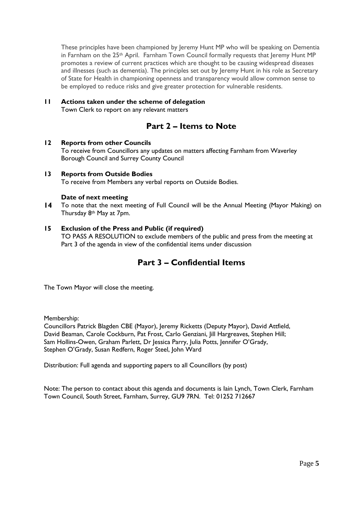These principles have been championed by Jeremy Hunt MP who will be speaking on Dementia in Farnham on the  $25<sup>th</sup>$  April. Farnham Town Council formally requests that Jeremy Hunt MP promotes a review of current practices which are thought to be causing widespread diseases and illnesses (such as dementia). The principles set out by Jeremy Hunt in his role as Secretary of State for Health in championing openness and transparency would allow common sense to be employed to reduce risks and give greater protection for vulnerable residents.

# **11 Actions taken under the scheme of delegation**

Town Clerk to report on any relevant matters

# **Part 2 – Items to Note**

# **12 Reports from other Councils**

To receive from Councillors any updates on matters affecting Farnham from Waverley Borough Council and Surrey County Council

# **13 Reports from Outside Bodies**

To receive from Members any verbal reports on Outside Bodies.

# **Date of next meeting**

**14** To note that the next meeting of Full Council will be the Annual Meeting (Mayor Making) on Thursday 8th May at 7pm.

# **15 Exclusion of the Press and Public (if required)**

TO PASS A RESOLUTION to exclude members of the public and press from the meeting at Part 3 of the agenda in view of the confidential items under discussion

# **Part 3 – Confidential Items**

The Town Mayor will close the meeting.

Membership:

Councillors Patrick Blagden CBE (Mayor), Jeremy Ricketts (Deputy Mayor), David Attfield, David Beaman, Carole Cockburn, Pat Frost, Carlo Genziani, Jill Hargreaves, Stephen Hill; Sam Hollins-Owen, Graham Parlett, Dr Jessica Parry, Julia Potts, Jennifer O'Grady, Stephen O'Grady, Susan Redfern, Roger Steel, John Ward

Distribution: Full agenda and supporting papers to all Councillors (by post)

Note: The person to contact about this agenda and documents is Iain Lynch, Town Clerk, Farnham Town Council, South Street, Farnham, Surrey, GU9 7RN. Tel: 01252 712667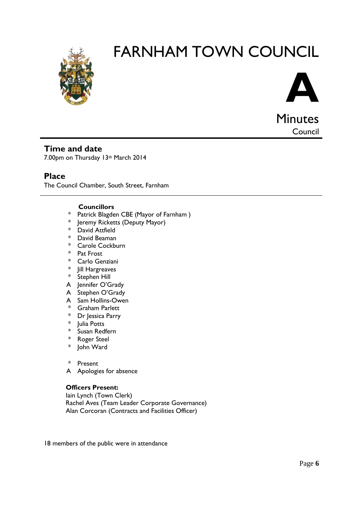



**Council** 

# **Time and date**

7.00pm on Thursday 13th March 2014

# **Place**

The Council Chamber, South Street, Farnham

# **Councillors**

- \* Patrick Blagden CBE (Mayor of Farnham )
- \* Jeremy Ricketts (Deputy Mayor)
- \* David Attfield
- \* David Beaman
- \* Carole Cockburn
- \* Pat Frost
- \* Carlo Genziani
- \* Jill Hargreaves
- \* Stephen Hill
- A Jennifer O'Grady
- A Stephen O'Grady
- A Sam Hollins-Owen
- \* Graham Parlett
- \* Dr Jessica Parry
- \* Julia Potts
- \* Susan Redfern<br>\* Roger Steel
- **Roger Steel**
- \* John Ward
- \* Present
- A Apologies for absence

## **Officers Present:**

Iain Lynch (Town Clerk) Rachel Aves (Team Leader Corporate Governance) Alan Corcoran (Contracts and Facilities Officer)

18 members of the public were in attendance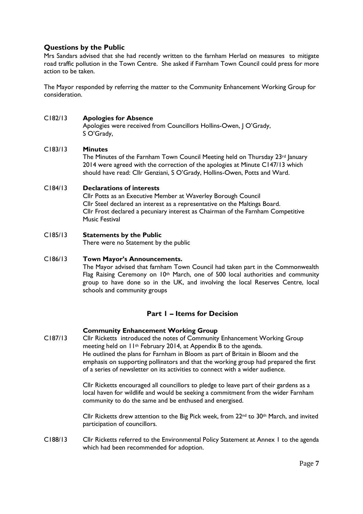# **Questions by the Public**

Mrs Sandars advised that she had recently written to the farnham Herlad on measures to mitigate road traffic pollution in the Town Centre. She asked if Farnham Town Council could press for more action to be taken.

The Mayor responded by referring the matter to the Community Enhancement Working Group for consideration.

## C182/13 **Apologies for Absence**

Apologies were received from Councillors Hollins-Owen, J O'Grady, S O'Grady,

# C183/13 **Minutes**

The Minutes of the Farnham Town Council Meeting held on Thursday  $23rd$  January 2014 were agreed with the correction of the apologies at Minute C147/13 which should have read: Cllr Genziani, S O'Grady, Hollins-Owen, Potts and Ward.

# C184/13 **Declarations of interests**

Cllr Potts as an Executive Member at Waverley Borough Council Cllr Steel declared an interest as a representative on the Maltings Board. Cllr Frost declared a pecuniary interest as Chairman of the Farnham Competitive Music Festival

# C185/13 **Statements by the Public**

There were no Statement by the public

# C186/13 **Town Mayor's Announcements.**

The Mayor advised that farnham Town Council had taken part in the Commonwealth Flag Raising Ceremony on 10<sup>th</sup> March, one of 500 local authorities and community group to have done so in the UK, and involving the local Reserves Centre, local schools and community groups

# **Part 1 – Items for Decision**

## **Community Enhancement Working Group**

C187/13 Cllr Ricketts introduced the notes of Community Enhancement Working Group meeting held on 11th February 2014, at Appendix B to the agenda. He outlined the plans for Farnham in Bloom as part of Britain in Bloom and the emphasis on supporting pollinators and that the working group had prepared the first of a series of newsletter on its activities to connect with a wider audience.

> Cllr Ricketts encouraged all councillors to pledge to leave part of their gardens as a local haven for wildlife and would be seeking a commitment from the wider Farnham community to do the same and be enthused and energised.

Cllr Ricketts drew attention to the Big Pick week, from  $22^{nd}$  to  $30^{th}$  March, and invited participation of councillors.

C188/13 Cllr Ricketts referred to the Environmental Policy Statement at Annex 1 to the agenda which had been recommended for adoption.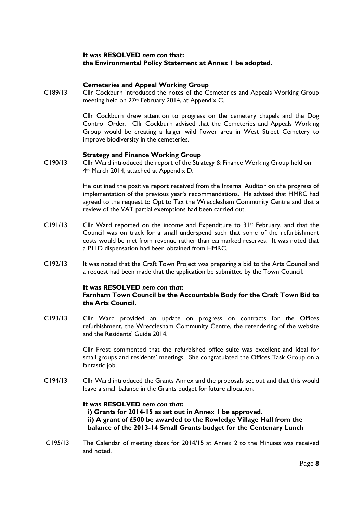# **It was RESOLVED** *nem con* **that: the Environmental Policy Statement at Annex 1 be adopted.**

## **Cemeteries and Appeal Working Group**

C189/13 Cllr Cockburn introduced the notes of the Cemeteries and Appeals Working Group meeting held on 27th February 2014, at Appendix C.

> Cllr Cockburn drew attention to progress on the cemetery chapels and the Dog Control Order. Cllr Cockburn advised that the Cemeteries and Appeals Working Group would be creating a larger wild flower area in West Street Cemetery to improve biodiversity in the cemeteries.

#### **Strategy and Finance Working Group**

C190/13 Cllr Ward introduced the report of the Strategy & Finance Working Group held on 4th March 2014, attached at Appendix D.

> He outlined the positive report received from the Internal Auditor on the progress of implementation of the previous year's recommendations. He advised that HMRC had agreed to the request to Opt to Tax the Wrecclesham Community Centre and that a review of the VAT partial exemptions had been carried out.

- C191/13 Cllr Ward reported on the income and Expenditure to 31<sup>st</sup> February, and that the Council was on track for a small underspend such that some of the refurbishment costs would be met from revenue rather than earmarked reserves. It was noted that a P11D dispensation had been obtained from HMRC.
- C192/13 It was noted that the Craft Town Project was preparing a bid to the Arts Council and a request had been made that the application be submitted by the Town Council.

#### **It was RESOLVED** *nem con that:*

#### F**arnham Town Council be the Accountable Body for the Craft Town Bid to the Arts Council.**

C193/13 Cllr Ward provided an update on progress on contracts for the Offices refurbishment, the Wrecclesham Community Centre, the retendering of the website and the Residents' Guide 2014.

> Cllr Frost commented that the refurbished office suite was excellent and ideal for small groups and residents' meetings. She congratulated the Offices Task Group on a fantastic job.

C194/13 Cllr Ward introduced the Grants Annex and the proposals set out and that this would leave a small balance in the Grants budget for future allocation.

#### **It was RESOLVED** *nem con that:*

**i) Grants for 2014-15 as set out in Annex 1 be approved. ii) A grant of £500 be awarded to the Rowledge Village Hall from the balance of the 2013-14 Small Grants budget for the Centenary Lunch**

C195/13 The Calendar of meeting dates for 2014/15 at Annex 2 to the Minutes was received and noted.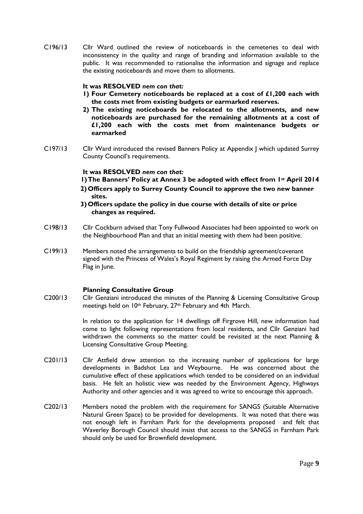C196/13 Cllr Ward outlined the review of noticeboards in the cemeteries to deal with inconsistency in the quality and range of branding and information available to the public. It was recommended to rationalise the information and signage and replace the existing noticeboards and move them to allotments.

# **It was RESOLVED** *nem con that:*

- **1) Four Cemetery noticeboards be replaced at a cost of £1,200 each with the costs met from existing budgets or earmarked reserves.**
- **2) The existing noticeboards be relocated to the allotments, and new noticeboards are purchased for the remaining allotments at a cost of £1,200 each with the costs met from maintenance budgets or earmarked**
- C197/13 Cllr Ward introduced the revised Banners Policy at Appendix J which updated Surrey County Council's requirements.

# **It was RESOLVED** *nem con that:*

- **1)The Banners' Policy at Annex 3 be adopted with effect from 1st April 2014**
- **2) Officers apply to Surrey County Council to approve the two new banner sites.**
- **3) Officers update the policy in due course with details of site or price changes as required.**
- C198/13 Cllr Cockburn advised that Tony Fullwood Associates had been appointed to work on the Neighbourhood Plan and that an initial meeting with them had been positive.
- C199/13 Members noted the arrangements to build on the friendship agreement/covenant signed with the Princess of Wales's Royal Regiment by raising the Armed Force Day Flag in June.

## **Planning Consultative Group**

C200/13 Cllr Genziani introduced the minutes of the Planning & Licensing Consultative Group meetings held on 10<sup>th</sup> February, 27<sup>th</sup> February and 4th March.

> In relation to the application for 14 dwellings off Firgrove Hill, new information had come to light following representations from local residents, and Cllr Genziani had withdrawn the comments so the matter could be revisited at the next Planning & Licensing Consultative Group Meeting.

- C201/13 Cllr Attfield drew attention to the increasing number of applications for large developments in Badshot Lea and Weybourne. He was concerned about the cumulative effect of these applications which tended to be considered on an individual basis. He felt an holistic view was needed by the Environment Agency, Highways Authority and other agencies and it was agreed to write to encourage this approach.
- C202/13 Members noted the problem with the requirement for SANGS (Suitable Alternative Natural Green Space) to be provided for developments. It was noted that there was not enough left in Farnham Park for the developments proposed and felt that Waverley Borough Council should insist that access to the SANGS in Farnham Park should only be used for Brownfield development.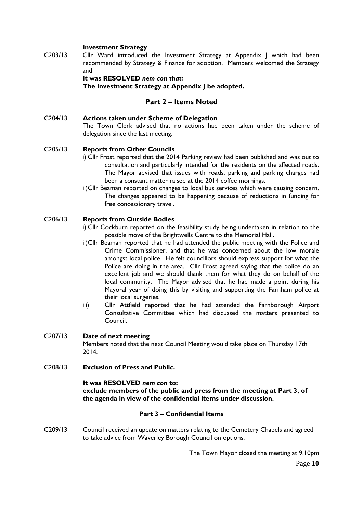# **Investment Strategy**

C203/13 Cllr Ward introduced the Investment Strategy at Appendix J which had been recommended by Strategy & Finance for adoption. Members welcomed the Strategy and

> **It was RESOLVED** *nem con that:* **The Investment Strategy at Appendix J be adopted.**

# **Part 2 – Items Noted**

C204/13 **Actions taken under Scheme of Delegation** The Town Clerk advised that no actions had been taken under the scheme of delegation since the last meeting.

## C205/13 **Reports from Other Councils**

- i) Cllr Frost reported that the 2014 Parking review had been published and was out to consultation and particularly intended for the residents on the affected roads. The Mayor advised that issues with roads, parking and parking charges had been a constant matter raised at the 2014 coffee mornings.
- ii)Cllr Beaman reported on changes to local bus services which were causing concern. The changes appeared to be happening because of reductions in funding for free concessionary travel.

# C206/13 **Reports from Outside Bodies**

- i) Cllr Cockburn reported on the feasibility study being undertaken in relation to the possible move of the Brightwells Centre to the Memorial Hall.
- ii)Cllr Beaman reported that he had attended the public meeting with the Police and Crime Commissioner, and that he was concerned about the low morale amongst local police. He felt councillors should express support for what the Police are doing in the area. Cllr Frost agreed saying that the police do an excellent job and we should thank them for what they do on behalf of the local community. The Mayor advised that he had made a point during his Mayoral year of doing this by visiting and supporting the Farnham police at their local surgeries.
- iii) Cllr Attfield reported that he had attended the Farnborough Airport Consultative Committee which had discussed the matters presented to Council.

## C207/13 **Date of next meeting**

Members noted that the next Council Meeting would take place on Thursday 17th 2014.

C208/13 **Exclusion of Press and Public.**

## **It was RESOLVED** *nem con* **to: exclude members of the public and press from the meeting at Part 3, of the agenda in view of the confidential items under discussion.**

## **Part 3 – Confidential Items**

C209/13 Council received an update on matters relating to the Cemetery Chapels and agreed to take advice from Waverley Borough Council on options.

> Page **10** The Town Mayor closed the meeting at 9.10pm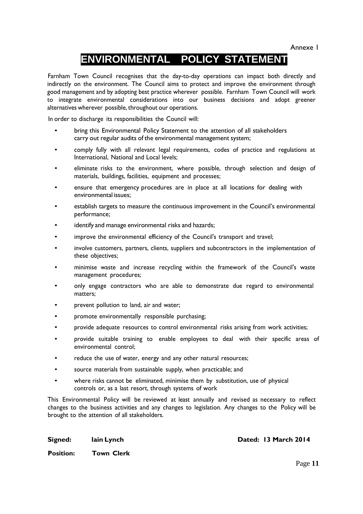Annexe 1

# **ENVIRONMENTAL POLICY STATEMENT**

Farnham Town Council recognises that the day-to-day operations can impact both directly and indirectly on the environment. The Council aims to protect and improve the environment through good management and by adopting best practice wherever possible. Farnham Town Council will work to integrate environmental considerations into our business decisions and adopt greener alternatives wherever possible, throughout our operations.

In order to discharge its responsibilities the Council will:

- bring this Environmental Policy Statement to the attention of all stakeholders carry out regular audits of the environmental management system;
- comply fully with all relevant legal requirements, codes of practice and regulations at International, National and Local levels;
- eliminate risks to the environment, where possible, through selection and design of materials, buildings, facilities, equipment and processes;
- ensure that emergency procedures are in place at all locations for dealing with environmental issues;
- establish targets to measure the continuous improvement in the Council's environmental performance;
- identify and manage environmental risks and hazards;
- improve the environmental efficiency of the Council's transport and travel;
- involve customers, partners, clients, suppliers and subcontractors in the implementation of these objectives;
- minimise waste and increase recycling within the framework of the Council's waste management procedures;
- only engage contractors who are able to demonstrate due regard to environmental matters;
- prevent pollution to land, air and water;
- promote environmentally responsible purchasing;
- provide adequate resources to control environmental risks arising from work activities;
- provide suitable training to enable employees to deal with their specific areas of environmental control;
- reduce the use of water, energy and any other natural resources;
- source materials from sustainable supply, when practicable; and
- where risks cannot be eliminated, minimise them by substitution, use of physical controls or, as a last resort, through systems of work

This Environmental Policy will be reviewed at least annually and revised as necessary to reflect changes to the business activities and any changes to legislation. Any changes to the Policy will be brought to the attention of all stakeholders.

**Signed: lain Lynch Dated: 13 March 2014**

**Position: Town Clerk**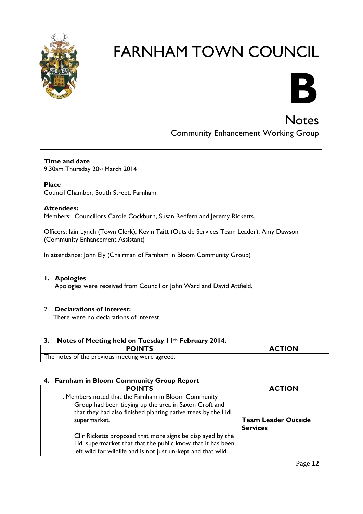



**Notes** Community Enhancement Working Group

# **Time and date**

9.30am Thursday 20th March 2014

# **Place**

Council Chamber, South Street, Farnham

# **Attendees:**

Members: Councillors Carole Cockburn, Susan Redfern and Jeremy Ricketts.

Officers: Iain Lynch (Town Clerk), Kevin Taitt (Outside Services Team Leader), Amy Dawson (Community Enhancement Assistant)

In attendance: John Ely (Chairman of Farnham in Bloom Community Group)

# **1. Apologies**

Apologies were received from Councillor John Ward and David Attfield.

# 2. **Declarations of Interest:**

There were no declarations of interest.

# **3. Notes of Meeting held on Tuesday 11th February 2014.**

| <b>POINTS</b>                                  | <b>ACTION</b> |
|------------------------------------------------|---------------|
| The notes of the previous meeting were agreed. |               |

# **4. Farnham in Bloom Community Group Report**

| <b>POINTS</b>                                                 | <b>ACTION</b>              |
|---------------------------------------------------------------|----------------------------|
| i. Members noted that the Farnham in Bloom Community          |                            |
| Group had been tidying up the area in Saxon Croft and         |                            |
| that they had also finished planting native trees by the Lidl |                            |
| supermarket.                                                  | <b>Team Leader Outside</b> |
|                                                               | <b>Services</b>            |
| Cllr Ricketts proposed that more signs be displayed by the    |                            |
| Lidl supermarket that that the public know that it has been   |                            |
| left wild for wildlife and is not just un-kept and that wild  |                            |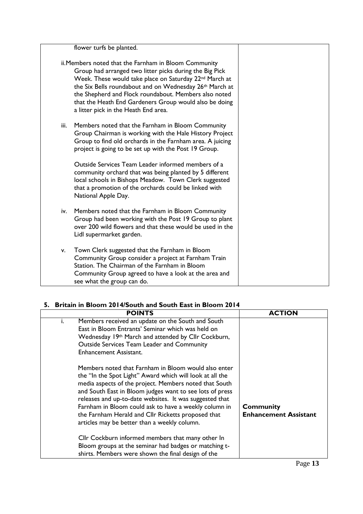|      | flower turfs be planted.                                                                                                                                                                                                                                                                                                                                                                                                 |  |
|------|--------------------------------------------------------------------------------------------------------------------------------------------------------------------------------------------------------------------------------------------------------------------------------------------------------------------------------------------------------------------------------------------------------------------------|--|
|      | ii. Members noted that the Farnham in Bloom Community<br>Group had arranged two litter picks during the Big Pick<br>Week. These would take place on Saturday 22 <sup>nd</sup> March at<br>the Six Bells roundabout and on Wednesday 26 <sup>th</sup> March at<br>the Shepherd and Flock roundabout. Members also noted<br>that the Heath End Gardeners Group would also be doing<br>a litter pick in the Heath End area. |  |
| iii. | Members noted that the Farnham in Bloom Community<br>Group Chairman is working with the Hale History Project<br>Group to find old orchards in the Farnham area. A juicing<br>project is going to be set up with the Post 19 Group.                                                                                                                                                                                       |  |
|      | Outside Services Team Leader informed members of a<br>community orchard that was being planted by 5 different<br>local schools in Bishops Meadow. Town Clerk suggested<br>that a promotion of the orchards could be linked with<br>National Apple Day.                                                                                                                                                                   |  |
| iv.  | Members noted that the Farnham in Bloom Community<br>Group had been working with the Post 19 Group to plant<br>over 200 wild flowers and that these would be used in the<br>Lidl supermarket garden.                                                                                                                                                                                                                     |  |
| v.   | Town Clerk suggested that the Farnham in Bloom<br>Community Group consider a project at Farnham Train<br>Station. The Chairman of the Farnham in Bloom<br>Community Group agreed to have a look at the area and<br>see what the group can do.                                                                                                                                                                            |  |

# **5. Britain in Bloom 2014/South and South East in Bloom 2014**

|    | <b>POINTS</b>                                                                                                                                                                                                                                                                                                                                                                                                                                                    | <b>ACTION</b>                                    |
|----|------------------------------------------------------------------------------------------------------------------------------------------------------------------------------------------------------------------------------------------------------------------------------------------------------------------------------------------------------------------------------------------------------------------------------------------------------------------|--------------------------------------------------|
| i. | Members received an update on the South and South<br>East in Bloom Entrants' Seminar which was held on<br>Wednesday 19th March and attended by Cllr Cockburn,<br>Outside Services Team Leader and Community<br><b>Enhancement Assistant.</b>                                                                                                                                                                                                                     |                                                  |
|    | Members noted that Farnham in Bloom would also enter<br>the "In the Spot Light" Award which will look at all the<br>media aspects of the project. Members noted that South<br>and South East in Bloom judges want to see lots of press<br>releases and up-to-date websites. It was suggested that<br>Farnham in Bloom could ask to have a weekly column in<br>the Farnham Herald and Cllr Ricketts proposed that<br>articles may be better than a weekly column. | <b>Community</b><br><b>Enhancement Assistant</b> |
|    | Cllr Cockburn informed members that many other In<br>Bloom groups at the seminar had badges or matching t-<br>shirts. Members were shown the final design of the                                                                                                                                                                                                                                                                                                 |                                                  |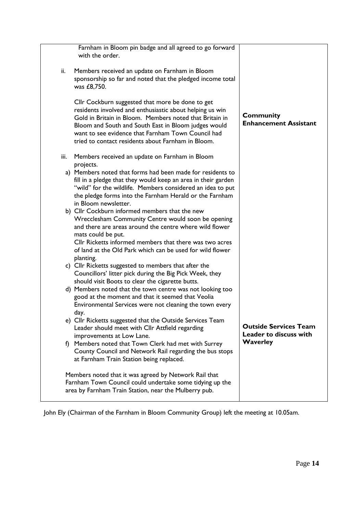| Farnham in Bloom pin badge and all agreed to go forward<br>with the order.                                                                                                                                                                                                                                                                  |                                                        |
|---------------------------------------------------------------------------------------------------------------------------------------------------------------------------------------------------------------------------------------------------------------------------------------------------------------------------------------------|--------------------------------------------------------|
| Members received an update on Farnham in Bloom<br>ii.<br>sponsorship so far and noted that the pledged income total<br>was £8,750.                                                                                                                                                                                                          |                                                        |
| Cllr Cockburn suggested that more be done to get<br>residents involved and enthusiastic about helping us win<br>Gold in Britain in Bloom. Members noted that Britain in<br>Bloom and South and South East in Bloom judges would<br>want to see evidence that Farnham Town Council had<br>tried to contact residents about Farnham in Bloom. | <b>Community</b><br><b>Enhancement Assistant</b>       |
| iii.<br>Members received an update on Farnham in Bloom<br>projects.                                                                                                                                                                                                                                                                         |                                                        |
| a) Members noted that forms had been made for residents to<br>fill in a pledge that they would keep an area in their garden<br>"wild" for the wildlife. Members considered an idea to put<br>the pledge forms into the Farnham Herald or the Farnham<br>in Bloom newsletter.                                                                |                                                        |
| b) Cllr Cockburn informed members that the new<br>Wrecclesham Community Centre would soon be opening<br>and there are areas around the centre where wild flower<br>mats could be put.<br>Cllr Ricketts informed members that there was two acres<br>of land at the Old Park which can be used for wild flower<br>planting.                  |                                                        |
| c) Cllr Ricketts suggested to members that after the<br>Councillors' litter pick during the Big Pick Week, they<br>should visit Boots to clear the cigarette butts.                                                                                                                                                                         |                                                        |
| d) Members noted that the town centre was not looking too<br>good at the moment and that it seemed that Veolia<br>Environmental Services were not cleaning the town every<br>day.                                                                                                                                                           |                                                        |
| e) Cllr Ricketts suggested that the Outside Services Team<br>Leader should meet with Cllr Attfield regarding<br>improvements at Low Lane.                                                                                                                                                                                                   | <b>Outside Services Team</b><br>Leader to discuss with |
| f) Members noted that Town Clerk had met with Surrey<br>County Council and Network Rail regarding the bus stops<br>at Farnham Train Station being replaced.                                                                                                                                                                                 | <b>Waverley</b>                                        |
| Members noted that it was agreed by Network Rail that<br>Farnham Town Council could undertake some tidying up the<br>area by Farnham Train Station, near the Mulberry pub.                                                                                                                                                                  |                                                        |

John Ely (Chairman of the Farnham in Bloom Community Group) left the meeting at 10.05am.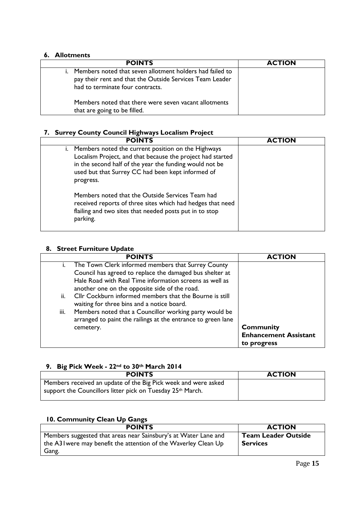# **6. Allotments**

| <b>POINTS</b>                                                                                                                                            | <b>ACTION</b> |
|----------------------------------------------------------------------------------------------------------------------------------------------------------|---------------|
| Members noted that seven allotment holders had failed to<br>pay their rent and that the Outside Services Team Leader<br>had to terminate four contracts. |               |
| Members noted that there were seven vacant allotments<br>that are going to be filled.                                                                    |               |

# **7. Surrey County Council Highways Localism Project**

| <b>POINTS</b>                                                                                                                                                                                                                                    | <b>ACTION</b> |
|--------------------------------------------------------------------------------------------------------------------------------------------------------------------------------------------------------------------------------------------------|---------------|
| i. Members noted the current position on the Highways<br>Localism Project, and that because the project had started<br>in the second half of the year the funding would not be<br>used but that Surrey CC had been kept informed of<br>progress. |               |
| Members noted that the Outside Services Team had<br>received reports of three sites which had hedges that need<br>flailing and two sites that needed posts put in to stop<br>parking.                                                            |               |

# **8. Street Furniture Update**

|                | <b>POINTS</b>                                                                                                          | <b>ACTION</b>                |
|----------------|------------------------------------------------------------------------------------------------------------------------|------------------------------|
| $\mathbf{I}$ . | The Town Clerk informed members that Surrey County                                                                     |                              |
|                | Council has agreed to replace the damaged bus shelter at                                                               |                              |
|                | Hale Road with Real Time information screens as well as<br>another one on the opposite side of the road.               |                              |
| ii.            | Cllr Cockburn informed members that the Bourne is still<br>waiting for three bins and a notice board.                  |                              |
| iii.           | Members noted that a Councillor working party would be<br>arranged to paint the railings at the entrance to green lane |                              |
|                | cemetery.                                                                                                              | <b>Community</b>             |
|                |                                                                                                                        | <b>Enhancement Assistant</b> |
|                |                                                                                                                        | to progress                  |

# **9. Big Pick Week - 22nd to 30th March 2014**

| <b>POINTS</b>                                                  | <b>ACTION</b> |
|----------------------------------------------------------------|---------------|
| Members received an update of the Big Pick week and were asked |               |
| support the Councillors litter pick on Tuesday 25th March.     |               |

# **10. Community Clean Up Gangs**

| <b>POINTS</b>                                                    | <b>ACTION</b>              |
|------------------------------------------------------------------|----------------------------|
| Members suggested that areas near Sainsbury's at Water Lane and  | <b>Team Leader Outside</b> |
| the A3 I were may benefit the attention of the Waverley Clean Up | <b>Services</b>            |
| Gang.                                                            |                            |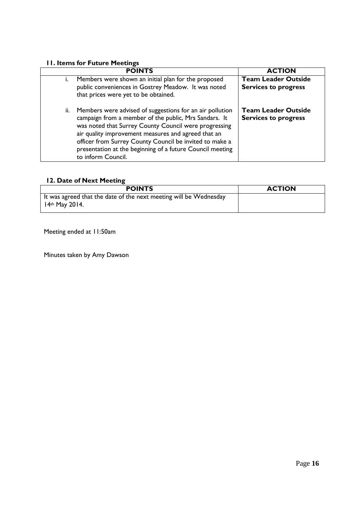# **11. Items for Future Meetings**

|     | <b>POINTS</b>                                                                                                                                                                                                                                                                                                                                                                   | <b>ACTION</b>                                             |
|-----|---------------------------------------------------------------------------------------------------------------------------------------------------------------------------------------------------------------------------------------------------------------------------------------------------------------------------------------------------------------------------------|-----------------------------------------------------------|
|     | Members were shown an initial plan for the proposed<br>public conveniences in Gostrey Meadow. It was noted<br>that prices were yet to be obtained.                                                                                                                                                                                                                              | <b>Team Leader Outside</b><br><b>Services to progress</b> |
| ii. | Members were advised of suggestions for an air pollution<br>campaign from a member of the public, Mrs Sandars. It<br>was noted that Surrey County Council were progressing<br>air quality improvement measures and agreed that an<br>officer from Surrey County Council be invited to make a<br>presentation at the beginning of a future Council meeting<br>to inform Council. | <b>Team Leader Outside</b><br><b>Services to progress</b> |

# **12. Date of Next Meeting**

| <b>POINTS</b>                                                                         | <b>ACTION</b> |
|---------------------------------------------------------------------------------------|---------------|
| It was agreed that the date of the next meeting will be Wednesday<br>$14th$ May 2014. |               |

Meeting ended at 11:50am

Minutes taken by Amy Dawson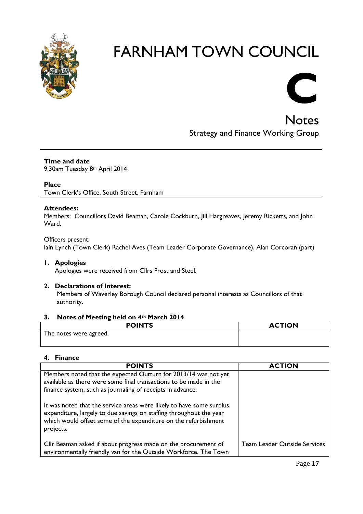

# **C**

**Notes** Strategy and Finance Working Group

# **Time and date**

9.30am Tuesday 8th April 2014

# **Place**

Town Clerk's Office, South Street, Farnham

# **Attendees:**

Members: Councillors David Beaman, Carole Cockburn, Jill Hargreaves, Jeremy Ricketts, and John Ward.

# Officers present: Iain Lynch (Town Clerk) Rachel Aves (Team Leader Corporate Governance), Alan Corcoran (part)

# **1. Apologies**

Apologies were received from Cllrs Frost and Steel.

# **2. Declarations of Interest:**

Members of Waverley Borough Council declared personal interests as Councillors of that authority.

# **3. Notes of Meeting held on 4th March 2014**

| <b>POINTS</b>          | <b>ACTION</b> |
|------------------------|---------------|
| The notes were agreed. |               |
|                        |               |

# **4. Finance**

| <b>POINTS</b>                                                                                                                                                                                                               | <b>ACTION</b>                       |
|-----------------------------------------------------------------------------------------------------------------------------------------------------------------------------------------------------------------------------|-------------------------------------|
| Members noted that the expected Outturn for 2013/14 was not yet                                                                                                                                                             |                                     |
| available as there were some final transactions to be made in the                                                                                                                                                           |                                     |
| finance system, such as journaling of receipts in advance.                                                                                                                                                                  |                                     |
| It was noted that the service areas were likely to have some surplus<br>expenditure, largely to due savings on staffing throughout the year<br>which would offset some of the expenditure on the refurbishment<br>projects. |                                     |
| Cllr Beaman asked if about progress made on the procurement of<br>environmentally friendly van for the Outside Workforce. The Town                                                                                          | <b>Team Leader Outside Services</b> |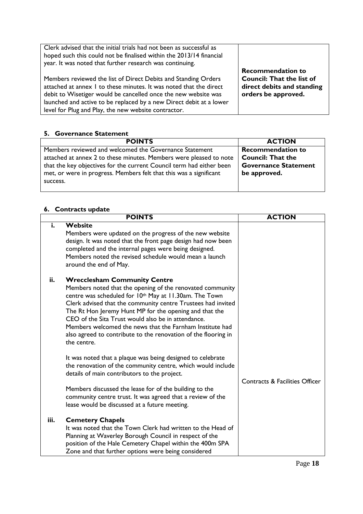| Clerk advised that the initial trials had not been as successful as<br>hoped such this could not be finalised within the 2013/14 financial<br>year. It was noted that further research was continuing.                                                                                                                                |                                                                                                                   |
|---------------------------------------------------------------------------------------------------------------------------------------------------------------------------------------------------------------------------------------------------------------------------------------------------------------------------------------|-------------------------------------------------------------------------------------------------------------------|
| Members reviewed the list of Direct Debits and Standing Orders<br>attached at annex I to these minutes. It was noted that the direct<br>debit to Wisetiger would be cancelled once the new website was<br>launched and active to be replaced by a new Direct debit at a lower<br>level for Plug and Play, the new website contractor. | <b>Recommendation to</b><br><b>Council: That the list of</b><br>direct debits and standing<br>orders be approved. |

# **5. Governance Statement**

| <b>POINTS</b>                                                        | <b>ACTION</b>               |
|----------------------------------------------------------------------|-----------------------------|
| Members reviewed and welcomed the Governance Statement               | <b>Recommendation to</b>    |
| attached at annex 2 to these minutes. Members were pleased to note   | <b>Council: That the</b>    |
| that the key objectives for the current Council term had either been | <b>Governance Statement</b> |
| met, or were in progress. Members felt that this was a significant   | be approved.                |
| success.                                                             |                             |
|                                                                      |                             |

# **6. Contracts update**

|      | <b>POINTS</b>                                                                                                                                                                                                                                                                                                                                                                                                                                                                           | <b>ACTION</b>                             |
|------|-----------------------------------------------------------------------------------------------------------------------------------------------------------------------------------------------------------------------------------------------------------------------------------------------------------------------------------------------------------------------------------------------------------------------------------------------------------------------------------------|-------------------------------------------|
| i.   | <b>Website</b><br>Members were updated on the progress of the new website<br>design. It was noted that the front page design had now been<br>completed and the internal pages were being designed.<br>Members noted the revised schedule would mean a launch<br>around the end of May.                                                                                                                                                                                                  |                                           |
| ii.  | <b>Wrecclesham Community Centre</b><br>Members noted that the opening of the renovated community<br>centre was scheduled for 10th May at 11.30am. The Town<br>Clerk advised that the community centre Trustees had invited<br>The Rt Hon Jeremy Hunt MP for the opening and that the<br>CEO of the Sita Trust would also be in attendance.<br>Members welcomed the news that the Farnham Institute had<br>also agreed to contribute to the renovation of the flooring in<br>the centre. |                                           |
|      | It was noted that a plaque was being designed to celebrate<br>the renovation of the community centre, which would include<br>details of main contributors to the project.<br>Members discussed the lease for of the building to the<br>community centre trust. It was agreed that a review of the<br>lease would be discussed at a future meeting.                                                                                                                                      | <b>Contracts &amp; Facilities Officer</b> |
| iii. | <b>Cemetery Chapels</b><br>It was noted that the Town Clerk had written to the Head of<br>Planning at Waverley Borough Council in respect of the<br>position of the Hale Cemetery Chapel within the 400m SPA<br>Zone and that further options were being considered                                                                                                                                                                                                                     |                                           |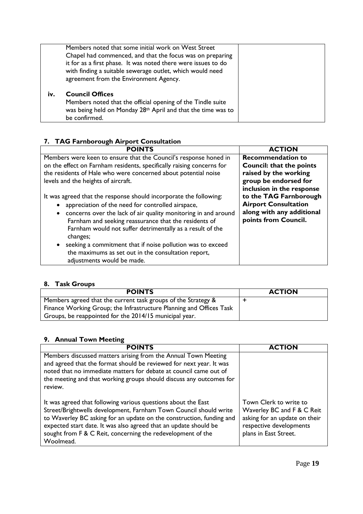|     | Members noted that some initial work on West Street<br>Chapel had commenced, and that the focus was on preparing<br>it for as a first phase. It was noted there were issues to do<br>with finding a suitable sewerage outlet, which would need<br>agreement from the Environment Agency. |  |
|-----|------------------------------------------------------------------------------------------------------------------------------------------------------------------------------------------------------------------------------------------------------------------------------------------|--|
| iv. | <b>Council Offices</b><br>Members noted that the official opening of the Tindle suite<br>was being held on Monday 28th April and that the time was to<br>be confirmed.                                                                                                                   |  |

# **7. TAG Farnborough Airport Consultation**

| <b>POINTS</b>                                                               | <b>ACTION</b>                                     |
|-----------------------------------------------------------------------------|---------------------------------------------------|
| Members were keen to ensure that the Council's response honed in            | <b>Recommendation to</b>                          |
| on the effect on Farnham residents, specifically raising concerns for       | <b>Council: that the points</b>                   |
| the residents of Hale who were concerned about potential noise              | raised by the working                             |
| levels and the heights of aircraft.                                         | group be endorsed for                             |
|                                                                             | inclusion in the response                         |
| It was agreed that the response should incorporate the following:           | to the TAG Farnborough                            |
| appreciation of the need for controlled airspace,                           | <b>Airport Consultation</b>                       |
| concerns over the lack of air quality monitoring in and around<br>$\bullet$ | along with any additional<br>points from Council. |
| Farnham and seeking reassurance that the residents of                       |                                                   |
| Farnham would not suffer detrimentally as a result of the<br>changes;       |                                                   |
| seeking a commitment that if noise pollution was to exceed<br>$\bullet$     |                                                   |
| the maximums as set out in the consultation report,                         |                                                   |
| adjustments would be made.                                                  |                                                   |

# **8. Task Groups**

| <b>POINTS</b>                                                       | <b>ACTION</b> |
|---------------------------------------------------------------------|---------------|
| Members agreed that the current task groups of the Strategy &       |               |
| Finance Working Group; the Infrastructure Planning and Offices Task |               |
| Groups, be reappointed for the 2014/15 municipal year.              |               |

# **9. Annual Town Meeting**

| <b>POINTS</b>                                                                                                                                                                                                                                                                                                                                              | <b>ACTION</b>                                                                                                                             |
|------------------------------------------------------------------------------------------------------------------------------------------------------------------------------------------------------------------------------------------------------------------------------------------------------------------------------------------------------------|-------------------------------------------------------------------------------------------------------------------------------------------|
| Members discussed matters arising from the Annual Town Meeting<br>and agreed that the format should be reviewed for next year. It was<br>noted that no immediate matters for debate at council came out of<br>the meeting and that working groups should discuss any outcomes for<br>review.                                                               |                                                                                                                                           |
| It was agreed that following various questions about the East<br>Street/Brightwells development, Farnham Town Council should write<br>to Waverley BC asking for an update on the construction, funding and<br>expected start date. It was also agreed that an update should be<br>sought from F & C Reit, concerning the redevelopment of the<br>Woolmead. | Town Clerk to write to<br>Waverley BC and F & C Reit<br>asking for an update on their<br>respective developments<br>plans in East Street. |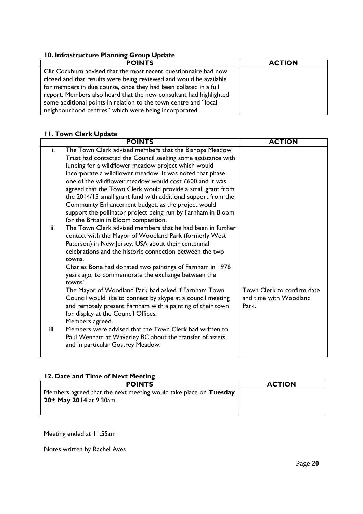# **10. Infrastructure Planning Group Update**

| <b>POINTS</b>                                                      | <b>ACTION</b> |
|--------------------------------------------------------------------|---------------|
| Cllr Cockburn advised that the most recent questionnaire had now   |               |
| closed and that results were being reviewed and would be available |               |
| for members in due course, once they had been collated in a full   |               |
| report. Members also heard that the new consultant had highlighted |               |
| some additional points in relation to the town centre and "local   |               |
| neighbourhood centres" which were being incorporated.              |               |

# **11. Town Clerk Update**

|      | <b>POINTS</b>                                                                                         | <b>ACTION</b>              |
|------|-------------------------------------------------------------------------------------------------------|----------------------------|
| i.   | The Town Clerk advised members that the Bishops Meadow                                                |                            |
|      | Trust had contacted the Council seeking some assistance with                                          |                            |
|      | funding for a wildflower meadow project which would                                                   |                            |
|      | incorporate a wildflower meadow. It was noted that phase                                              |                            |
|      | one of the wildflower meadow would cost £600 and it was                                               |                            |
|      | agreed that the Town Clerk would provide a small grant from                                           |                            |
|      | the 2014/15 small grant fund with additional support from the                                         |                            |
|      | Community Enhancement budget, as the project would                                                    |                            |
|      | support the pollinator project being run by Farnham in Bloom<br>for the Britain in Bloom competition. |                            |
| ii.  | The Town Clerk advised members that he had been in further                                            |                            |
|      | contact with the Mayor of Woodland Park (formerly West                                                |                            |
|      | Paterson) in New Jersey, USA about their centennial                                                   |                            |
|      | celebrations and the historic connection between the two                                              |                            |
|      | towns.                                                                                                |                            |
|      | Charles Bone had donated two paintings of Farnham in 1976                                             |                            |
|      | years ago, to commemorate the exchange between the                                                    |                            |
|      | towns'.                                                                                               |                            |
|      | The Mayor of Woodland Park had asked if Farnham Town                                                  | Town Clerk to confirm date |
|      | Council would like to connect by skype at a council meeting                                           | and time with Woodland     |
|      | and remotely present Farnham with a painting of their town                                            | Park.                      |
|      | for display at the Council Offices.                                                                   |                            |
| iii. | Members agreed.<br>Members were advised that the Town Clerk had written to                            |                            |
|      | Paul Wenham at Waverley BC about the transfer of assets                                               |                            |
|      | and in particular Gostrey Meadow.                                                                     |                            |
|      |                                                                                                       |                            |

# **12. Date and Time of Next Meeting**

| <b>POINTS</b>                                                    | <b>ACTION</b> |
|------------------------------------------------------------------|---------------|
| Members agreed that the next meeting would take place on Tuesday |               |
| 20th May 2014 at 9.30am.                                         |               |
|                                                                  |               |
|                                                                  |               |

Meeting ended at 11.55am

Notes written by Rachel Aves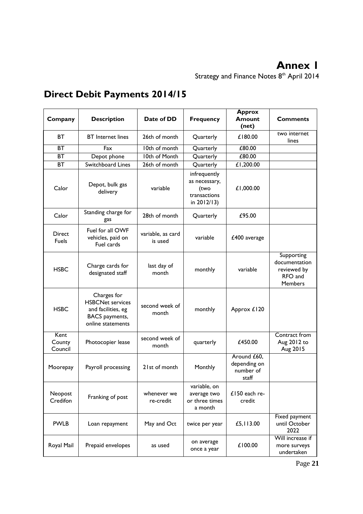# **Annex 1**

Strategy and Finance Notes 8<sup>th</sup> April 2014

| Company                       | <b>Description</b>                                                                                         | Date of DD                   | <b>Frequency</b>                                                     | <b>Approx</b><br><b>Amount</b><br>(net)           | <b>Comments</b>                                                         |
|-------------------------------|------------------------------------------------------------------------------------------------------------|------------------------------|----------------------------------------------------------------------|---------------------------------------------------|-------------------------------------------------------------------------|
| <b>BT</b>                     | <b>BT</b> Internet lines                                                                                   | 26th of month                | Quarterly                                                            | £180.00                                           | two internet<br>lines                                                   |
| <b>BT</b>                     | Fax                                                                                                        | 10th of month                | Quarterly                                                            | £80.00                                            |                                                                         |
| ВT                            | Depot phone                                                                                                | 10th of Month                | Quarterly                                                            | £80.00                                            |                                                                         |
| ВT                            | Switchboard Lines                                                                                          | 26th of month                | Quarterly                                                            | £1,200.00                                         |                                                                         |
| Calor                         | Depot, bulk gas<br>delivery                                                                                | variable                     | infrequently<br>as necessary,<br>(two<br>transactions<br>in 2012/13) | £1,000.00                                         |                                                                         |
| Calor                         | Standing charge for<br>gas                                                                                 | 28th of month                | Quarterly                                                            | £95.00                                            |                                                                         |
| <b>Direct</b><br><b>Fuels</b> | Fuel for all OWF<br>vehicles, paid on<br>Fuel cards                                                        | variable, as card<br>is used | variable                                                             | £400 average                                      |                                                                         |
| <b>HSBC</b>                   | Charge cards for<br>designated staff                                                                       | last day of<br>month         | monthly                                                              | variable                                          | Supporting<br>documentation<br>reviewed by<br>RFO and<br><b>Members</b> |
| <b>HSBC</b>                   | Charges for<br><b>HSBCNet services</b><br>and facilities, eg<br><b>BACS</b> payments,<br>online statements | second week of<br>month      | monthly                                                              | Approx £120                                       |                                                                         |
| Kent<br>County<br>Council     | Photocopier lease                                                                                          | second week of<br>month      | quarterly                                                            | £450.00                                           | Contract from<br>Aug 2012 to<br>Aug 2015                                |
| Moorepay                      | Payroll processing                                                                                         | 21st of month                | Monthly                                                              | Around £60,<br>depending on<br>number of<br>staff |                                                                         |
| Neopost<br>Credifon           | Franking of post                                                                                           | whenever we<br>re-credit     | variable, on<br>average two<br>or three times<br>a month             | £150 each re-<br>credit                           |                                                                         |
| <b>PWLB</b>                   | Loan repayment                                                                                             | May and Oct                  | twice per year                                                       | £5,113.00                                         | Fixed payment<br>until October<br>2022                                  |
| Royal Mail                    | Prepaid envelopes                                                                                          | as used                      | on average<br>once a year                                            | £100.00                                           | Will increase if<br>more surveys<br>undertaken                          |

# **Direct Debit Payments 2014/15**

Page **21**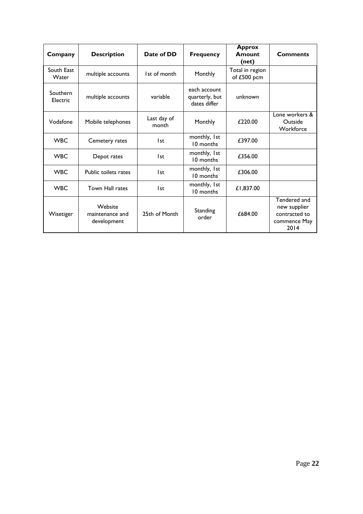| Company              | <b>Description</b>                        | Date of DD           | <b>Frequency</b>                               | <b>Approx</b><br>Amount<br>(net) | <b>Comments</b>                                                       |
|----------------------|-------------------------------------------|----------------------|------------------------------------------------|----------------------------------|-----------------------------------------------------------------------|
| South East<br>Water  | multiple accounts                         | 1st of month         | Monthly                                        | Total in region<br>of £500 pcm   |                                                                       |
| Southern<br>Electric | multiple accounts                         | variable             | each account<br>quarterly, but<br>dates differ | unknown                          |                                                                       |
| Vodafone             | Mobile telephones                         | Last day of<br>month | Monthly                                        | £220.00                          | Lone workers &<br>Outside<br>Workforce                                |
| <b>WBC</b>           | Cemetery rates                            | l st                 | monthly, 1st<br>10 months                      | £397.00                          |                                                                       |
| <b>WBC</b>           | Depot rates                               | l st                 | monthly, 1st<br>10 months                      | £356.00                          |                                                                       |
| <b>WBC</b>           | Public toilets rates                      | l st                 | monthly, 1st<br>10 months                      | £306.00                          |                                                                       |
| <b>WBC</b>           | Town Hall rates                           | l st                 | monthly, 1st<br>10 months                      | £1,837.00                        |                                                                       |
| Wisetiger            | Website<br>maintenance and<br>development | 25th of Month        | Standing<br>order                              | £684.00                          | Tendered and<br>new supplier<br>contracted to<br>commence May<br>2014 |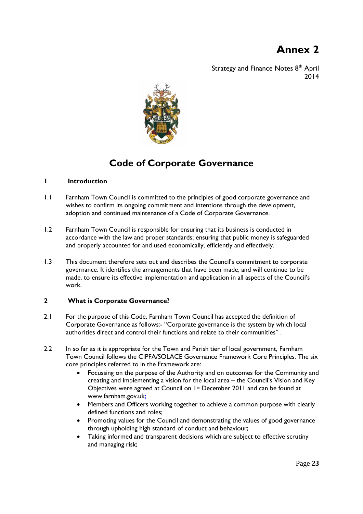# **Annex 2**

Strategy and Finance Notes 8<sup>th</sup> April 2014



# **Code of Corporate Governance**

# **1 Introduction**

- 1.1 Farnham Town Council is committed to the principles of good corporate governance and wishes to confirm its ongoing commitment and intentions through the development, adoption and continued maintenance of a Code of Corporate Governance.
- 1.2 Farnham Town Council is responsible for ensuring that its business is conducted in accordance with the law and proper standards; ensuring that public money is safeguarded and properly accounted for and used economically, efficiently and effectively.
- 1.3 This document therefore sets out and describes the Council's commitment to corporate governance. It identifies the arrangements that have been made, and will continue to be made, to ensure its effective implementation and application in all aspects of the Council's work.

# **2 What is Corporate Governance?**

- 2.1 For the purpose of this Code, Farnham Town Council has accepted the definition of Corporate Governance as follows:- "Corporate governance is the system by which local authorities direct and control their functions and relate to their communities" .
- 2.2 In so far as it is appropriate for the Town and Parish tier of local government, Farnham Town Council follows the CIPFA/SOLACE Governance Framework Core Principles. The six core principles referred to in the Framework are:
	- Focussing on the purpose of the Authority and on outcomes for the Community and creating and implementing a vision for the local area – the Council's Vision and Key Objectives were agreed at Council on 1st December 2011 and can be found at [www.farnham.gov.uk;](http://www.farnham.gov.uk/)
	- Members and Officers working together to achieve a common purpose with clearly defined functions and roles;
	- Promoting values for the Council and demonstrating the values of good governance through upholding high standard of conduct and behaviour;
	- Taking informed and transparent decisions which are subject to effective scrutiny and managing risk;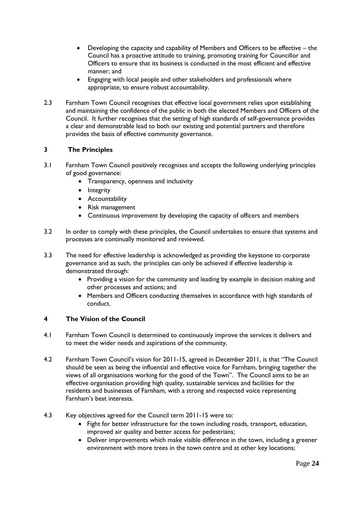- Developing the capacity and capability of Members and Officers to be effective the Council has a proactive attitude to training, promoting training for Councillor and Officers to ensure that its business is conducted in the most efficient and effective manner; and
- Engaging with local people and other stakeholders and professionals where appropriate, to ensure robust accountability.
- 2.3 Farnham Town Council recognises that effective local government relies upon establishing and maintaining the confidence of the public in both the elected Members and Officers of the Council. It further recognises that the setting of high standards of self-governance provides a clear and demonstrable lead to both our existing and potential partners and therefore provides the basis of effective community governance.

# **3 The Principles**

- 3.1 Farnham Town Council positively recognises and accepts the following underlying principles of good governance:
	- Transparency, openness and inclusivity
	- Integrity
	- **•** Accountability
	- Risk management
	- Continuous improvement by developing the capacity of officers and members
- 3.2 In order to comply with these principles, the Council undertakes to ensure that systems and processes are continually monitored and reviewed.
- 3.3 The need for effective leadership is acknowledged as providing the keystone to corporate governance and as such, the principles can only be achieved if effective leadership is demonstrated through:
	- Providing a vision for the community and leading by example in decision making and other processes and actions; and
	- Members and Officers conducting themselves in accordance with high standards of conduct.

# **4 The Vision of the Council**

- 4.1 Farnham Town Council is determined to continuously improve the services it delivers and to meet the wider needs and aspirations of the community.
- 4.2 Farnham Town Council's vision for 2011-15, agreed in December 2011, is that "The Council should be seen as being the influential and effective voice for Farnham, bringing together the views of all organisations working for the good of the Town". The Council aims to be an effective organisation providing high quality, sustainable services and facilities for the residents and businesses of Farnham, with a strong and respected voice representing Farnham's best interests.
- 4.3 Key objectives agreed for the Council term 2011-15 were to:
	- Fight for better infrastructure for the town including roads, transport, education, improved air quality and better access for pedestrians;
	- Deliver improvements which make visible difference in the town, including a greener environment with more trees in the town centre and at other key locations;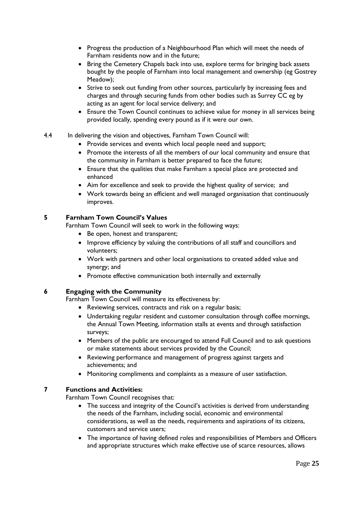- Progress the production of a Neighbourhood Plan which will meet the needs of Farnham residents now and in the future;
- Bring the Cemetery Chapels back into use, explore terms for bringing back assets bought by the people of Farnham into local management and ownership (eg Gostrey Meadow);
- Strive to seek out funding from other sources, particularly by increasing fees and charges and through securing funds from other bodies such as Surrey CC eg by acting as an agent for local service delivery; and
- Ensure the Town Council continues to achieve value for money in all services being provided locally, spending every pound as if it were our own.
- 4.4 In delivering the vision and objectives, Farnham Town Council will:
	- Provide services and events which local people need and support;
	- Promote the interests of all the members of our local community and ensure that the community in Farnham is better prepared to face the future;
	- Ensure that the qualities that make Farnham a special place are protected and enhanced
	- Aim for excellence and seek to provide the highest quality of service; and
	- Work towards being an efficient and well managed organisation that continuously improves.

# **5 Farnham Town Council's Values**

Farnham Town Council will seek to work in the following ways:

- Be open, honest and transparent;
- Improve efficiency by valuing the contributions of all staff and councillors and volunteers;
- Work with partners and other local organisations to created added value and synergy; and
- Promote effective communication both internally and externally

# **6 Engaging with the Community**

Farnham Town Council will measure its effectiveness by:

- Reviewing services, contracts and risk on a regular basis;
- Undertaking regular resident and customer consultation through coffee mornings, the Annual Town Meeting, information stalls at events and through satisfaction surveys;
- Members of the public are encouraged to attend Full Council and to ask questions or make statements about services provided by the Council;
- Reviewing performance and management of progress against targets and achievements; and
- Monitoring compliments and complaints as a measure of user satisfaction.

# **7 Functions and Activities:**

Farnham Town Council recognises that:

- The success and integrity of the Council's activities is derived from understanding the needs of the Farnham, including social, economic and environmental considerations, as well as the needs, requirements and aspirations of its citizens, customers and service users;
- The importance of having defined roles and responsibilities of Members and Officers and appropriate structures which make effective use of scarce resources, allows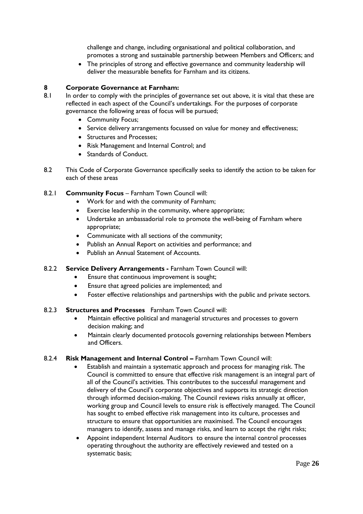challenge and change, including organisational and political collaboration, and promotes a strong and sustainable partnership between Members and Officers; and

• The principles of strong and effective governance and community leadership will deliver the measurable benefits for Farnham and its citizens.

# **8 Corporate Governance at Farnham:**

- 8.1 In order to comply with the principles of governance set out above, it is vital that these are reflected in each aspect of the Council's undertakings. For the purposes of corporate governance the following areas of focus will be pursued;
	- Community Focus;
	- Service delivery arrangements focussed on value for money and effectiveness;
	- Structures and Processes;
	- Risk Management and Internal Control; and
	- Standards of Conduct.
- 8.2 This Code of Corporate Governance specifically seeks to identify the action to be taken for each of these areas

# 8.2.1 **Community Focus** – Farnham Town Council will:

- Work for and with the community of Farnham;
- Exercise leadership in the community, where appropriate;
- Undertake an ambassadorial role to promote the well-being of Farnham where appropriate;
- Communicate with all sections of the community;
- Publish an Annual Report on activities and performance; and
- Publish an Annual Statement of Accounts.
- 8.2.2 **Service Delivery Arrangements -** Farnham Town Council will:
	- Ensure that continuous improvement is sought;
	- Ensure that agreed policies are implemented; and
	- Foster effective relationships and partnerships with the public and private sectors.

## 8.2.3 **Structures and Processes** Farnham Town Council will:

- Maintain effective political and managerial structures and processes to govern decision making; and
- Maintain clearly documented protocols governing relationships between Members and Officers.

## 8.2.4 **Risk Management and Internal Control -** Farnham Town Council will:

- Establish and maintain a systematic approach and process for managing risk. The Council is committed to ensure that effective risk management is an integral part of all of the Council's activities. This contributes to the successful management and delivery of the Council's corporate objectives and supports its strategic direction through informed decision-making. The Council reviews risks annually at officer, working group and Council levels to ensure risk is effectively managed. The Council has sought to embed effective risk management into its culture, processes and structure to ensure that opportunities are maximised. The Council encourages managers to identify, assess and manage risks, and learn to accept the right risks;
	- Appoint independent Internal Auditors to ensure the internal control processes operating throughout the authority are effectively reviewed and tested on a systematic basis;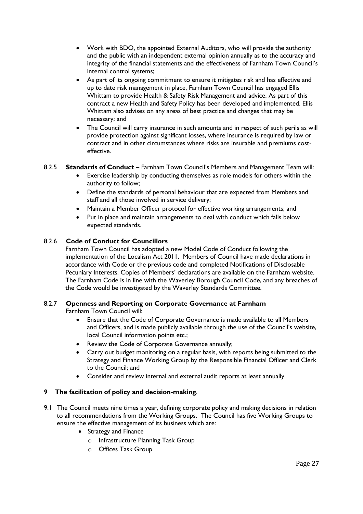- Work with BDO, the appointed External Auditors, who will provide the authority and the public with an independent external opinion annually as to the accuracy and integrity of the financial statements and the effectiveness of Farnham Town Council's internal control systems;
- As part of its ongoing commitment to ensure it mitigates risk and has effective and up to date risk management in place, Farnham Town Council has engaged Ellis Whittam to provide Health & Safety Risk Management and advice. As part of this contract a new Health and Safety Policy has been developed and implemented. Ellis Whittam also advises on any areas of best practice and changes that may be necessary; and
- The Council will carry insurance in such amounts and in respect of such perils as will provide protection against significant losses, where insurance is required by law or contract and in other circumstances where risks are insurable and premiums costeffective.

# 8.2.5 **Standards of Conduct –** Farnham Town Council's Members and Management Team will:

- Exercise leadership by conducting themselves as role models for others within the authority to follow;
- Define the standards of personal behaviour that are expected from Members and staff and all those involved in service delivery;
- Maintain a Member Officer protocol for effective working arrangements; and
- Put in place and maintain arrangements to deal with conduct which falls below expected standards.

# 8.2.6 **Code of Conduct for Councillors**

Farnham Town Council has adopted a new Model Code of Conduct following the implementation of the Localism Act 2011. Members of Council have made declarations in accordance with Code or the previous code and completed Notifications of Disclosable Pecuniary Interests. Copies of Members' declarations are available on the Farnham website. The Farnham Code is in line with the Waverley Borough Council Code, and any breaches of the Code would be investigated by the Waverley Standards Committee.

# 8.2.7 **Openness and Reporting on Corporate Governance at Farnham**

Farnham Town Council will:

- Ensure that the Code of Corporate Governance is made available to all Members and Officers, and is made publicly available through the use of the Council's website, local Council information points etc.;
- Review the Code of Corporate Governance annually;
- Carry out budget monitoring on a regular basis, with reports being submitted to the Strategy and Finance Working Group by the Responsible Financial Officer and Clerk to the Council; and
- Consider and review internal and external audit reports at least annually.

# **9 The facilitation of policy and decision-making**.

- 9.1 The Council meets nine times a year, defining corporate policy and making decisions in relation to all recommendations from the Working Groups. The Council has five Working Groups to ensure the effective management of its business which are:
	- Strategy and Finance
		- o Infrastructure Planning Task Group
		- o Offices Task Group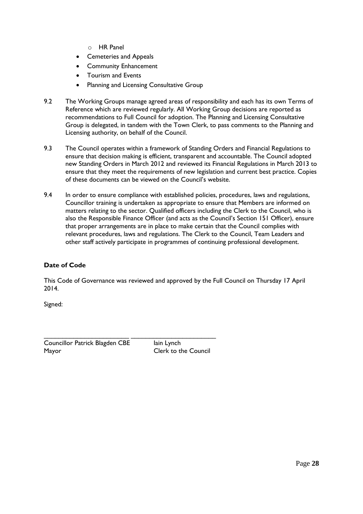- o HR Panel
- Cemeteries and Appeals
- Community Enhancement
- Tourism and Events
- Planning and Licensing Consultative Group
- 9.2 The Working Groups manage agreed areas of responsibility and each has its own Terms of Reference which are reviewed regularly. All Working Group decisions are reported as recommendations to Full Council for adoption. The Planning and Licensing Consultative Group is delegated, in tandem with the Town Clerk, to pass comments to the Planning and Licensing authority, on behalf of the Council.
- 9.3 The Council operates within a framework of Standing Orders and Financial Regulations to ensure that decision making is efficient, transparent and accountable. The Council adopted new Standing Orders in March 2012 and reviewed its Financial Regulations in March 2013 to ensure that they meet the requirements of new legislation and current best practice. Copies of these documents can be viewed on the Council's website.
- 9.4 In order to ensure compliance with established policies, procedures, laws and regulations, Councillor training is undertaken as appropriate to ensure that Members are informed on matters relating to the sector. Qualified officers including the Clerk to the Council, who is also the Responsible Finance Officer (and acts as the Council's Section 151 Officer), ensure that proper arrangements are in place to make certain that the Council complies with relevant procedures, laws and regulations. The Clerk to the Council, Team Leaders and other staff actively participate in programmes of continuing professional development.

# **Date of Code**

This Code of Governance was reviewed and approved by the Full Council on Thursday 17 April 2014.

Signed:

\_\_\_\_\_\_\_\_\_\_\_\_\_\_\_\_\_\_\_\_\_\_\_ \_\_\_\_\_\_\_\_\_\_\_\_\_\_\_\_\_\_\_\_\_\_\_ Councillor Patrick Blagden CBE lain Lynch Mayor Clerk to the Council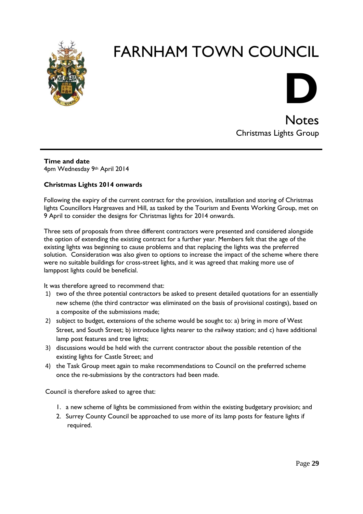



**Notes** Christmas Lights Group

**Time and date** 4pm Wednesday 9th April 2014

# **Christmas Lights 2014 onwards**

Following the expiry of the current contract for the provision, installation and storing of Christmas lights Councillors Hargreaves and Hill, as tasked by the Tourism and Events Working Group, met on 9 April to consider the designs for Christmas lights for 2014 onwards.

Three sets of proposals from three different contractors were presented and considered alongside the option of extending the existing contract for a further year. Members felt that the age of the existing lights was beginning to cause problems and that replacing the lights was the preferred solution. Consideration was also given to options to increase the impact of the scheme where there were no suitable buildings for cross-street lights, and it was agreed that making more use of lamppost lights could be beneficial.

It was therefore agreed to recommend that:

- 1) two of the three potential contractors be asked to present detailed quotations for an essentially new scheme (the third contractor was eliminated on the basis of provisional costings), based on a composite of the submissions made;
- 2) subject to budget, extensions of the scheme would be sought to: a) bring in more of West Street, and South Street; b) introduce lights nearer to the railway station; and c) have additional lamp post features and tree lights;
- 3) discussions would be held with the current contractor about the possible retention of the existing lights for Castle Street; and
- 4) the Task Group meet again to make recommendations to Council on the preferred scheme once the re-submissions by the contractors had been made.

Council is therefore asked to agree that:

- 1. a new scheme of lights be commissioned from within the existing budgetary provision; and
- 2. Surrey County Council be approached to use more of its lamp posts for feature lights if required.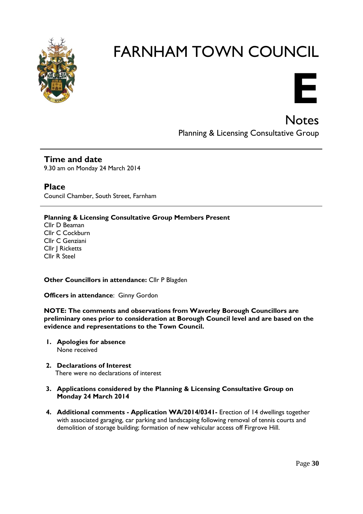



Notes Planning & Licensing Consultative Group

**Time and date** 9.30 am on Monday 24 March 2014

**Place** Council Chamber, South Street, Farnham

**Planning & Licensing Consultative Group Members Present**

Cllr D Beaman Cllr C Cockburn Cllr C Genziani Cllr J Ricketts Cllr R Steel

**Other Councillors in attendance:** Cllr P Blagden

**Officers in attendance**: Ginny Gordon

**NOTE: The comments and observations from Waverley Borough Councillors are preliminary ones prior to consideration at Borough Council level and are based on the evidence and representations to the Town Council.**

- **1. Apologies for absence** None received
- **2. Declarations of Interest** There were no declarations of interest
- **3. Applications considered by the Planning & Licensing Consultative Group on Monday 24 March 2014**
- **4. Additional comments - Application WA/2014/0341-** Erection of 14 dwellings together with associated garaging, car parking and landscaping following removal of tennis courts and demolition of storage building; formation of new vehicular access off Firgrove Hill.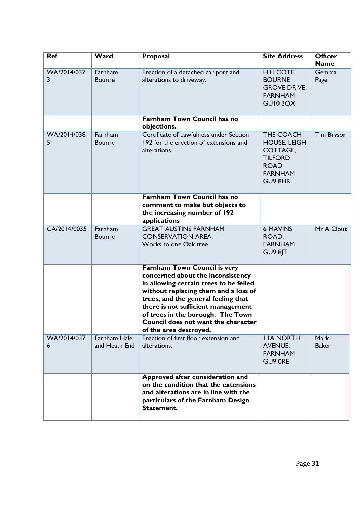| <b>Ref</b>       | Ward                          | Proposal                                                                                                                                                                                                                                                                                                                                      | <b>Site Address</b>                                                                                        | <b>Officer</b><br><b>Name</b> |
|------------------|-------------------------------|-----------------------------------------------------------------------------------------------------------------------------------------------------------------------------------------------------------------------------------------------------------------------------------------------------------------------------------------------|------------------------------------------------------------------------------------------------------------|-------------------------------|
| WA/2014/037<br>3 | Farnham<br><b>Bourne</b>      | Erection of a detached car port and<br>alterations to driveway.                                                                                                                                                                                                                                                                               | <b>HILLCOTE,</b><br><b>BOURNE</b><br><b>GROVE DRIVE,</b><br><b>FARNHAM</b><br>GUI03QX                      | Gemma<br>Page                 |
|                  |                               | <b>Farnham Town Council has no</b><br>objections.                                                                                                                                                                                                                                                                                             |                                                                                                            |                               |
| WA/2014/038<br>5 | Farnham<br><b>Bourne</b>      | Certificate of Lawfulness under Section<br>192 for the erection of extensions and<br>alterations.                                                                                                                                                                                                                                             | THE COACH<br><b>HOUSE, LEIGH</b><br>COTTAGE,<br><b>TILFORD</b><br><b>ROAD</b><br><b>FARNHAM</b><br>GU9 8HR | <b>Tim Bryson</b>             |
|                  |                               | <b>Farnham Town Council has no</b><br>comment to make but objects to<br>the increasing number of 192<br>applications                                                                                                                                                                                                                          |                                                                                                            |                               |
| CA/2014/0035     | Farnham<br><b>Bourne</b>      | <b>GREAT AUSTINS FARNHAM</b><br><b>CONSERVATION AREA.</b><br>Works to one Oak tree.                                                                                                                                                                                                                                                           | <b>6 MAVINS</b><br>ROAD,<br><b>FARNHAM</b><br>GU9 8JT                                                      | Mr A Clout                    |
|                  |                               | <b>Farnham Town Council is very</b><br>concerned about the inconsistency<br>in allowing certain trees to be felled<br>without replacing them and a loss of<br>trees, and the general feeling that<br>there is not sufficient management<br>of trees in the borough. The Town<br>Council does not want the character<br>of the area destroyed. |                                                                                                            |                               |
| WA/2014/037<br>6 | Farnham Hale<br>and Heath End | Erection of first floor extension and<br>alterations.                                                                                                                                                                                                                                                                                         | <b>IIA NORTH</b><br>AVENUE,<br><b>FARNHAM</b><br>GU9 ORE                                                   | Mark<br><b>Baker</b>          |
|                  |                               | Approved after consideration and<br>on the condition that the extensions<br>and alterations are in line with the<br>particulars of the Farnham Design<br>Statement.                                                                                                                                                                           |                                                                                                            |                               |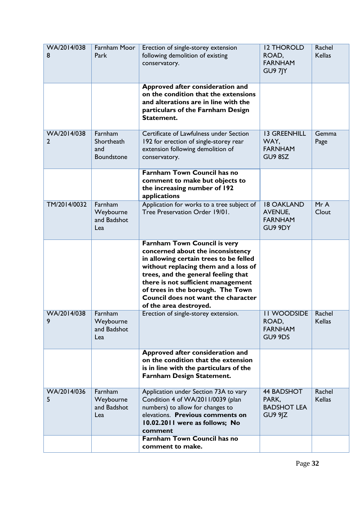| WA/2014/038<br>8              | Farnham Moor<br>Park                       | Erection of single-storey extension<br>following demolition of existing<br>conservatory.                                                                                                                                                                                                                                               | <b>I2 THOROLD</b><br>ROAD,<br><b>FARNHAM</b><br>GU9 7JY          | Rachel<br><b>Kellas</b> |
|-------------------------------|--------------------------------------------|----------------------------------------------------------------------------------------------------------------------------------------------------------------------------------------------------------------------------------------------------------------------------------------------------------------------------------------|------------------------------------------------------------------|-------------------------|
|                               |                                            | Approved after consideration and<br>on the condition that the extensions<br>and alterations are in line with the<br>particulars of the Farnham Design<br>Statement.                                                                                                                                                                    |                                                                  |                         |
| WA/2014/038<br>$\overline{2}$ | Farnham<br>Shortheath<br>and<br>Boundstone | Certificate of Lawfulness under Section<br>192 for erection of single-storey rear<br>extension following demolition of<br>conservatory.                                                                                                                                                                                                | <b>13 GREENHILL</b><br>WAY,<br><b>FARNHAM</b><br>GU9 8SZ         | Gemma<br>Page           |
|                               |                                            | <b>Farnham Town Council has no</b><br>comment to make but objects to<br>the increasing number of 192<br>applications                                                                                                                                                                                                                   |                                                                  |                         |
| TM/2014/0032                  | Farnham<br>Weybourne<br>and Badshot<br>Lea | Application for works to a tree subject of<br>Tree Preservation Order 19/01.                                                                                                                                                                                                                                                           | <b>18 OAKLAND</b><br><b>AVENUE,</b><br><b>FARNHAM</b><br>GU9 9DY | MrA<br>Clout            |
|                               |                                            | Farnham Town Council is very<br>concerned about the inconsistency<br>in allowing certain trees to be felled<br>without replacing them and a loss of<br>trees, and the general feeling that<br>there is not sufficient management<br>of trees in the borough. The Town<br>Council does not want the character<br>of the area destroyed. |                                                                  |                         |
| WA/2014/038<br>9              | Farnham<br>Weybourne<br>and Badshot<br>Lea | Erection of single-storey extension.                                                                                                                                                                                                                                                                                                   | <b>II WOODSIDE</b><br>ROAD,<br><b>FARNHAM</b><br>GU9 9DS         | Rachel<br><b>Kellas</b> |
|                               |                                            | Approved after consideration and<br>on the condition that the extension<br>is in line with the particulars of the<br>Farnham Design Statement.                                                                                                                                                                                         |                                                                  |                         |
| WA/2014/036<br>5              | Farnham<br>Weybourne<br>and Badshot<br>Lea | Application under Section 73A to vary<br>Condition 4 of WA/2011/0039 (plan<br>numbers) to allow for changes to<br>elevations. Previous comments on<br>10.02.2011 were as follows; No<br>comment                                                                                                                                        | <b>44 BADSHOT</b><br>PARK,<br><b>BADSHOT LEA</b><br>GU9 9JZ      | Rachel<br><b>Kellas</b> |
|                               |                                            | <b>Farnham Town Council has no</b><br>comment to make.                                                                                                                                                                                                                                                                                 |                                                                  |                         |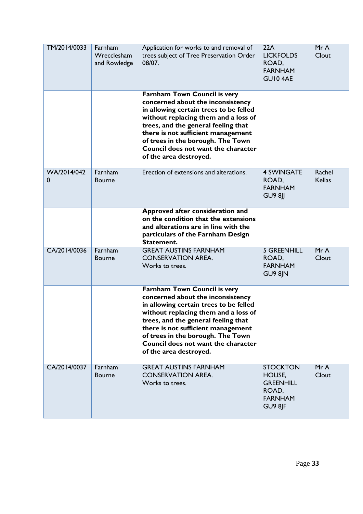| TM/2014/0033     | Farnham<br>Wrecclesham<br>and Rowledge | Application for works to and removal of<br>trees subject of Tree Preservation Order<br>08/07.                                                                                                                                                                                                                                                 | 22A<br><b>LICKFOLDS</b><br>ROAD,<br><b>FARNHAM</b><br><b>GUIO 4AE</b>                      | Mr A<br>Clout           |
|------------------|----------------------------------------|-----------------------------------------------------------------------------------------------------------------------------------------------------------------------------------------------------------------------------------------------------------------------------------------------------------------------------------------------|--------------------------------------------------------------------------------------------|-------------------------|
|                  |                                        | <b>Farnham Town Council is very</b><br>concerned about the inconsistency<br>in allowing certain trees to be felled<br>without replacing them and a loss of<br>trees, and the general feeling that<br>there is not sufficient management<br>of trees in the borough. The Town<br>Council does not want the character<br>of the area destroyed. |                                                                                            |                         |
| WA/2014/042<br>0 | Farnham<br><b>Bourne</b>               | Erection of extensions and alterations.                                                                                                                                                                                                                                                                                                       | <b>4 SWINGATE</b><br>ROAD,<br><b>FARNHAM</b><br><b>GU9 8JJ</b>                             | Rachel<br><b>Kellas</b> |
|                  |                                        | Approved after consideration and<br>on the condition that the extensions<br>and alterations are in line with the<br>particulars of the Farnham Design<br>Statement.                                                                                                                                                                           |                                                                                            |                         |
| CA/2014/0036     | Farnham<br><b>Bourne</b>               | <b>GREAT AUSTINS FARNHAM</b><br><b>CONSERVATION AREA.</b><br>Works to trees.                                                                                                                                                                                                                                                                  | <b>5 GREENHILL</b><br>ROAD,<br><b>FARNHAM</b><br>GU9 8JN                                   | MrA<br>Clout            |
|                  |                                        | Farnham Town Council is very<br>concerned about the inconsistency<br>in allowing certain trees to be felled<br>without replacing them and a loss of<br>trees, and the general feeling that<br>there is not sufficient management<br>of trees in the borough. The Town<br>Council does not want the character<br>of the area destroyed.        |                                                                                            |                         |
| CA/2014/0037     | Farnham<br><b>Bourne</b>               | <b>GREAT AUSTINS FARNHAM</b><br><b>CONSERVATION AREA.</b><br>Works to trees.                                                                                                                                                                                                                                                                  | <b>STOCKTON</b><br>HOUSE,<br><b>GREENHILL</b><br>ROAD,<br><b>FARNHAM</b><br><b>GU9 8JF</b> | MrA<br>Clout            |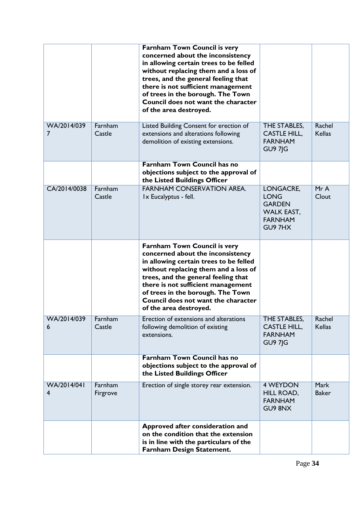|                               |                     | <b>Farnham Town Council is very</b><br>concerned about the inconsistency<br>in allowing certain trees to be felled<br>without replacing them and a loss of<br>trees, and the general feeling that<br>there is not sufficient management<br>of trees in the borough. The Town<br>Council does not want the character<br>of the area destroyed. |                                                                                            |                         |
|-------------------------------|---------------------|-----------------------------------------------------------------------------------------------------------------------------------------------------------------------------------------------------------------------------------------------------------------------------------------------------------------------------------------------|--------------------------------------------------------------------------------------------|-------------------------|
| WA/2014/039<br>$\overline{7}$ | Farnham<br>Castle   | Listed Building Consent for erection of<br>extensions and alterations following<br>demolition of existing extensions.                                                                                                                                                                                                                         | THE STABLES,<br><b>CASTLE HILL,</b><br><b>FARNHAM</b><br><b>GU9 7JG</b>                    | Rachel<br><b>Kellas</b> |
|                               |                     | Farnham Town Council has no<br>objections subject to the approval of<br>the Listed Buildings Officer                                                                                                                                                                                                                                          |                                                                                            |                         |
| CA/2014/0038                  | Farnham<br>Castle   | <b>FARNHAM CONSERVATION AREA.</b><br>Ix Eucalyptus - fell.                                                                                                                                                                                                                                                                                    | LONGACRE,<br><b>LONG</b><br><b>GARDEN</b><br><b>WALK EAST,</b><br><b>FARNHAM</b><br>GU97HX | MrA<br>Clout            |
|                               |                     | <b>Farnham Town Council is very</b><br>concerned about the inconsistency<br>in allowing certain trees to be felled<br>without replacing them and a loss of<br>trees, and the general feeling that<br>there is not sufficient management<br>of trees in the borough. The Town<br>Council does not want the character<br>of the area destroyed. |                                                                                            |                         |
| WA/2014/039<br>6              | Farnham<br>Castle   | Erection of extensions and alterations<br>following demolition of existing<br>extensions.                                                                                                                                                                                                                                                     | THE STABLES,<br><b>CASTLE HILL,</b><br><b>FARNHAM</b><br><b>GU9 7JG</b>                    | Rachel<br><b>Kellas</b> |
|                               |                     | <b>Farnham Town Council has no</b><br>objections subject to the approval of<br>the Listed Buildings Officer                                                                                                                                                                                                                                   |                                                                                            |                         |
| WA/2014/041<br>4              | Farnham<br>Firgrove | Erection of single storey rear extension.                                                                                                                                                                                                                                                                                                     | 4 WEYDON<br>HILL ROAD,<br><b>FARNHAM</b><br>GU9 8NX                                        | Mark<br><b>Baker</b>    |
|                               |                     | Approved after consideration and<br>on the condition that the extension<br>is in line with the particulars of the<br>Farnham Design Statement.                                                                                                                                                                                                |                                                                                            |                         |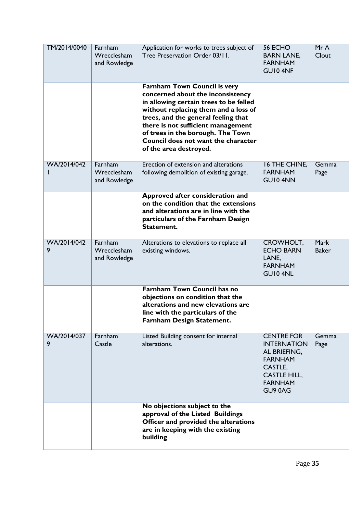| TM/2014/0040     | Farnham<br>Wrecclesham<br>and Rowledge | Application for works to trees subject of<br>Tree Preservation Order 03/11.                                                                                                                                                                                                                                                                   | 56 ECHO<br><b>BARN LANE,</b><br><b>FARNHAM</b><br>GUI04NF                                                                                | Mr A<br>Clout               |
|------------------|----------------------------------------|-----------------------------------------------------------------------------------------------------------------------------------------------------------------------------------------------------------------------------------------------------------------------------------------------------------------------------------------------|------------------------------------------------------------------------------------------------------------------------------------------|-----------------------------|
|                  |                                        | <b>Farnham Town Council is very</b><br>concerned about the inconsistency<br>in allowing certain trees to be felled<br>without replacing them and a loss of<br>trees, and the general feeling that<br>there is not sufficient management<br>of trees in the borough. The Town<br>Council does not want the character<br>of the area destroyed. |                                                                                                                                          |                             |
| WA/2014/042      | Farnham<br>Wrecclesham<br>and Rowledge | Erection of extension and alterations<br>following demolition of existing garage.                                                                                                                                                                                                                                                             | 16 THE CHINE,<br><b>FARNHAM</b><br>GUI04NN                                                                                               | Gemma<br>Page               |
|                  |                                        | Approved after consideration and<br>on the condition that the extensions<br>and alterations are in line with the<br>particulars of the Farnham Design<br>Statement.                                                                                                                                                                           |                                                                                                                                          |                             |
| WA/2014/042<br>9 | Farnham<br>Wrecclesham<br>and Rowledge | Alterations to elevations to replace all<br>existing windows.                                                                                                                                                                                                                                                                                 | CROWHOLT,<br><b>ECHO BARN</b><br>LANE,<br><b>FARNHAM</b><br>GUI04NL                                                                      | <b>Mark</b><br><b>Baker</b> |
|                  |                                        | Farnham Town Council has no<br>objections on condition that the<br>alterations and new elevations are<br>line with the particulars of the<br>Farnham Design Statement.                                                                                                                                                                        |                                                                                                                                          |                             |
| WA/2014/037<br>9 | Farnham<br>Castle                      | Listed Building consent for internal<br>alterations.                                                                                                                                                                                                                                                                                          | <b>CENTRE FOR</b><br><b>INTERNATION</b><br>AL BRIEFING,<br><b>FARNHAM</b><br>CASTLE,<br><b>CASTLE HILL,</b><br><b>FARNHAM</b><br>GU9 0AG | Gemma<br>Page               |
|                  |                                        | No objections subject to the<br>approval of the Listed Buildings<br>Officer and provided the alterations<br>are in keeping with the existing<br>building                                                                                                                                                                                      |                                                                                                                                          |                             |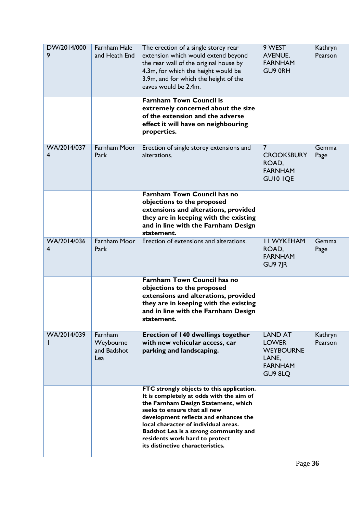| DW/2014/000<br>9 | <b>Farnham Hale</b><br>and Heath End       | The erection of a single storey rear<br>extension which would extend beyond<br>the rear wall of the original house by<br>4.3m, for which the height would be<br>3.9m, and for which the height of the<br>eaves would be 2.4m.                                                                                                                                | 9 WEST<br>AVENUE,<br><b>FARNHAM</b><br>GU9 0RH                                           | Kathryn<br>Pearson |
|------------------|--------------------------------------------|--------------------------------------------------------------------------------------------------------------------------------------------------------------------------------------------------------------------------------------------------------------------------------------------------------------------------------------------------------------|------------------------------------------------------------------------------------------|--------------------|
|                  |                                            | <b>Farnham Town Council is</b><br>extremely concerned about the size<br>of the extension and the adverse<br>effect it will have on neighbouring<br>properties.                                                                                                                                                                                               |                                                                                          |                    |
| WA/2014/037<br>4 | <b>Farnham Moor</b><br>Park                | Erection of single storey extensions and<br>alterations.                                                                                                                                                                                                                                                                                                     | $\overline{7}$<br><b>CROOKSBURY</b><br>ROAD,<br><b>FARNHAM</b><br><b>GUIO IQE</b>        | Gemma<br>Page      |
|                  |                                            | <b>Farnham Town Council has no</b><br>objections to the proposed<br>extensions and alterations, provided<br>they are in keeping with the existing<br>and in line with the Farnham Design<br>statement.                                                                                                                                                       |                                                                                          |                    |
| WA/2014/036<br>4 | <b>Farnham Moor</b><br>Park                | Erection of extensions and alterations.                                                                                                                                                                                                                                                                                                                      | <b>II WYKEHAM</b><br>ROAD,<br><b>FARNHAM</b><br><b>GU9 7JR</b>                           | Gemma<br>Page      |
|                  |                                            | <b>Farnham Town Council has no</b><br>objections to the proposed<br>extensions and alterations, provided<br>they are in keeping with the existing<br>and in line with the Farnham Design<br>statement.                                                                                                                                                       |                                                                                          |                    |
| WA/2014/039      | Farnham<br>Weybourne<br>and Badshot<br>Lea | <b>Erection of 140 dwellings together</b><br>with new vehicular access, car<br>parking and landscaping.                                                                                                                                                                                                                                                      | <b>LAND AT</b><br><b>LOWER</b><br><b>WEYBOURNE</b><br>LANE,<br><b>FARNHAM</b><br>GU9 8LQ | Kathryn<br>Pearson |
|                  |                                            | FTC strongly objects to this application.<br>It is completely at odds with the aim of<br>the Farnham Design Statement, which<br>seeks to ensure that all new<br>development reflects and enhances the<br>local character of individual areas.<br>Badshot Lea is a strong community and<br>residents work hard to protect<br>its distinctive characteristics. |                                                                                          |                    |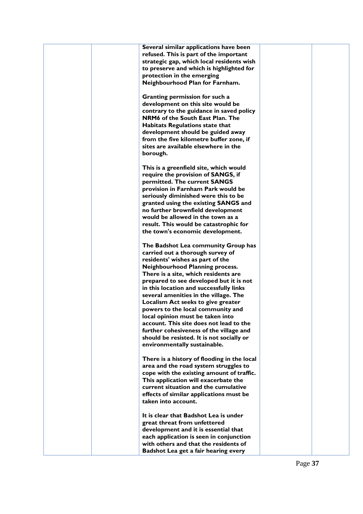| Several similar applications have been<br>refused. This is part of the important  |  |
|-----------------------------------------------------------------------------------|--|
| strategic gap, which local residents wish                                         |  |
| to preserve and which is highlighted for                                          |  |
| protection in the emerging                                                        |  |
| Neighbourhood Plan for Farnham.                                                   |  |
| Granting permission for such a                                                    |  |
| development on this site would be                                                 |  |
| contrary to the guidance in saved policy<br>NRM6 of the South East Plan. The      |  |
| <b>Habitats Regulations state that</b>                                            |  |
| development should be guided away                                                 |  |
| from the five kilometre buffer zone, if                                           |  |
| sites are available elsewhere in the                                              |  |
| borough.                                                                          |  |
| This is a greenfield site, which would                                            |  |
| require the provision of SANGS, if                                                |  |
| permitted. The current SANGS                                                      |  |
| provision in Farnham Park would be<br>seriously diminished were this to be        |  |
| granted using the existing SANGS and                                              |  |
| no further brownfield development                                                 |  |
| would be allowed in the town as a                                                 |  |
| result. This would be catastrophic for<br>the town's economic development.        |  |
|                                                                                   |  |
| The Badshot Lea community Group has                                               |  |
| carried out a thorough survey of                                                  |  |
| residents' wishes as part of the<br><b>Neighbourhood Planning process.</b>        |  |
| There is a site, which residents are                                              |  |
| prepared to see developed but it is not                                           |  |
| in this location and successfully links                                           |  |
| several amenities in the village. The                                             |  |
| Localism Act seeks to give greater<br>powers to the local community and           |  |
| local opinion must be taken into                                                  |  |
| account. This site does not lead to the                                           |  |
| further cohesiveness of the village and                                           |  |
| should be resisted. It is not socially or<br>environmentally sustainable.         |  |
|                                                                                   |  |
| There is a history of flooding in the local                                       |  |
| area and the road system struggles to                                             |  |
| cope with the existing amount of traffic.<br>This application will exacerbate the |  |
| current situation and the cumulative                                              |  |
| effects of similar applications must be                                           |  |
| taken into account.                                                               |  |
| It is clear that Badshot Lea is under                                             |  |
| great threat from unfettered                                                      |  |
| development and it is essential that                                              |  |
| each application is seen in conjunction<br>with others and that the residents of  |  |
| Badshot Lea get a fair hearing every                                              |  |
|                                                                                   |  |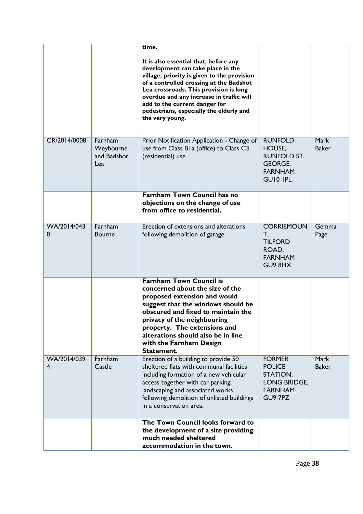|                  |                                            | time.<br>It is also essential that, before any<br>development can take place in the<br>village, priority is given to the provision<br>of a controlled crossing at the Badshot<br>Lea crossroads. This provision is long<br>overdue and any increase in traffic will<br>add to the current danger for<br>pedestrians, especially the elderly and<br>the very young. |                                                                                                      |                             |
|------------------|--------------------------------------------|--------------------------------------------------------------------------------------------------------------------------------------------------------------------------------------------------------------------------------------------------------------------------------------------------------------------------------------------------------------------|------------------------------------------------------------------------------------------------------|-----------------------------|
| CR/2014/0008     | Farnham<br>Weybourne<br>and Badshot<br>Lea | Prior Notification Application - Change of<br>use from Class B1a (office) to Class C3<br>(residential) use.                                                                                                                                                                                                                                                        | <b>RUNFOLD</b><br>HOUSE,<br><b>RUNFOLD ST</b><br><b>GEORGE,</b><br><b>FARNHAM</b><br><b>GUIO IPL</b> | <b>Mark</b><br><b>Baker</b> |
|                  |                                            | <b>Farnham Town Council has no</b><br>objections on the change of use<br>from office to residential.                                                                                                                                                                                                                                                               |                                                                                                      |                             |
| WA/2014/043<br>0 | Farnham<br><b>Bourne</b>                   | Erection of extensions and alterations<br>following demolition of garage.                                                                                                                                                                                                                                                                                          | <b>CORRIEMOUN</b><br>T,<br><b>TILFORD</b><br>ROAD,<br><b>FARNHAM</b><br>GU9 8HX                      | Gemma<br>Page               |
|                  |                                            | <b>Farnham Town Council is</b><br>concerned about the size of the<br>proposed extension and would<br>suggest that the windows should be<br>obscured and fixed to maintain the<br>privacy of the neighbouring<br>property. The extensions and<br>alterations should also be in line<br>with the Farnham Design<br>Statement.                                        |                                                                                                      |                             |
| WA/2014/039<br>4 | Farnham<br>Castle                          | Erection of a building to provide 50<br>sheltered flats with communal facilities<br>including formation of a new vehicular<br>access together with car parking,<br>landscaping and associated works<br>following demolition of unlisted buildings<br>in a conservation area.                                                                                       | <b>FORMER</b><br><b>POLICE</b><br>STATION,<br>LONG BRIDGE,<br><b>FARNHAM</b><br>GU9 7PZ              | Mark<br><b>Baker</b>        |
|                  |                                            | The Town Council looks forward to<br>the development of a site providing<br>much needed sheltered<br>accommodation in the town.                                                                                                                                                                                                                                    |                                                                                                      |                             |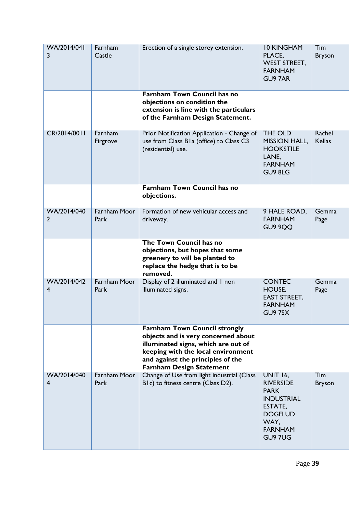| WA/2014/041<br>3 | Farnham<br>Castle           | Erection of a single storey extension.                                                                                                                                                                                           | <b>10 KINGHAM</b><br>PLACE,<br><b>WEST STREET,</b><br><b>FARNHAM</b><br><b>GU9 7AR</b>                                                    | Tim<br><b>Bryson</b>    |
|------------------|-----------------------------|----------------------------------------------------------------------------------------------------------------------------------------------------------------------------------------------------------------------------------|-------------------------------------------------------------------------------------------------------------------------------------------|-------------------------|
|                  |                             | <b>Farnham Town Council has no</b><br>objections on condition the<br>extension is line with the particulars<br>of the Farnham Design Statement.                                                                                  |                                                                                                                                           |                         |
| CR/2014/0011     | Farnham<br>Firgrove         | Prior Notification Application - Change of<br>use from Class B1a (office) to Class C3<br>(residential) use.                                                                                                                      | THE OLD<br><b>MISSION HALL,</b><br><b>HOOKSTILE</b><br>LANE,<br><b>FARNHAM</b><br>GU9 8LG                                                 | Rachel<br><b>Kellas</b> |
|                  |                             | <b>Farnham Town Council has no</b><br>objections.                                                                                                                                                                                |                                                                                                                                           |                         |
| WA/2014/040<br>2 | <b>Farnham Moor</b><br>Park | Formation of new vehicular access and<br>driveway.                                                                                                                                                                               | 9 HALE ROAD,<br><b>FARNHAM</b><br>GU9 9QQ                                                                                                 | Gemma<br>Page           |
|                  |                             | The Town Council has no<br>objections, but hopes that some<br>greenery to will be planted to<br>replace the hedge that is to be<br>removed.                                                                                      |                                                                                                                                           |                         |
| WA/2014/042<br>4 | <b>Farnham Moor</b><br>Park | Display of 2 illuminated and 1 non<br>illuminated signs.                                                                                                                                                                         | <b>CONTEC</b><br>HOUSE,<br><b>EAST STREET,</b><br><b>FARNHAM</b><br>GU97SX                                                                | Gemma<br>Page           |
|                  |                             | <b>Farnham Town Council strongly</b><br>objects and is very concerned about<br>illuminated signs, which are out of<br>keeping with the local environment<br>and against the principles of the<br><b>Farnham Design Statement</b> |                                                                                                                                           |                         |
| WA/2014/040<br>4 | <b>Farnham Moor</b><br>Park | Change of Use from light industrial (Class<br>BIc) to fitness centre (Class D2).                                                                                                                                                 | <b>UNIT 16,</b><br><b>RIVERSIDE</b><br><b>PARK</b><br><b>INDUSTRIAL</b><br>ESTATE,<br><b>DOGFLUD</b><br>WAY,<br><b>FARNHAM</b><br>GU9 7UG | Tim<br><b>Bryson</b>    |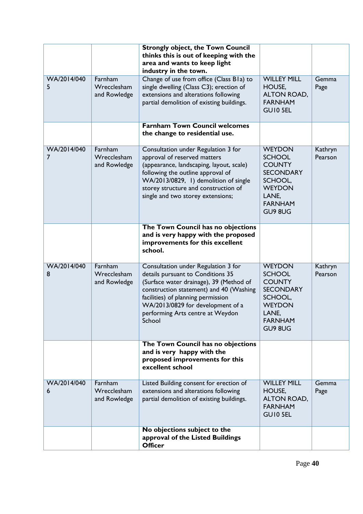|                  |                                        | <b>Strongly object, the Town Council</b><br>thinks this is out of keeping with the<br>area and wants to keep light<br>industry in the town.                                                                                                                                             |                                                                                                                                       |                    |
|------------------|----------------------------------------|-----------------------------------------------------------------------------------------------------------------------------------------------------------------------------------------------------------------------------------------------------------------------------------------|---------------------------------------------------------------------------------------------------------------------------------------|--------------------|
| WA/2014/040<br>5 | Farnham<br>Wrecclesham<br>and Rowledge | Change of use from office (Class B1a) to<br>single dwelling (Class C3); erection of<br>extensions and alterations following<br>partial demolition of existing buildings.                                                                                                                | <b>WILLEY MILL</b><br>HOUSE,<br>ALTON ROAD,<br><b>FARNHAM</b><br>GUI0 5EL                                                             | Gemma<br>Page      |
|                  |                                        | <b>Farnham Town Council welcomes</b><br>the change to residential use.                                                                                                                                                                                                                  |                                                                                                                                       |                    |
| WA/2014/040<br>7 | Farnham<br>Wrecclesham<br>and Rowledge | Consultation under Regulation 3 for<br>approval of reserved matters<br>(appearance, landscaping, layout, scale)<br>following the outline approval of<br>WA/2013/0829, 1) demolition of single<br>storey structure and construction of<br>single and two storey extensions;              | <b>WEYDON</b><br><b>SCHOOL</b><br><b>COUNTY</b><br><b>SECONDARY</b><br>SCHOOL,<br><b>WEYDON</b><br>LANE,<br><b>FARNHAM</b><br>GU9 8UG | Kathryn<br>Pearson |
|                  |                                        | The Town Council has no objections<br>and is very happy with the proposed<br>improvements for this excellent<br>school.                                                                                                                                                                 |                                                                                                                                       |                    |
| WA/2014/040<br>8 | Farnham<br>Wrecclesham<br>and Rowledge | Consultation under Regulation 3 for<br>details pursuant to Conditions 35<br>(Surface water drainage), 39 (Method of<br>construction statement) and 40 (Washing<br>facilities) of planning permission<br>WA/2013/0829 for development of a<br>performing Arts centre at Weydon<br>School | <b>WEYDON</b><br><b>SCHOOL</b><br><b>COUNTY</b><br><b>SECONDARY</b><br>SCHOOL,<br><b>WEYDON</b><br>LANE,<br><b>FARNHAM</b><br>GU9 8UG | Kathryn<br>Pearson |
|                  |                                        | The Town Council has no objections<br>and is very happy with the<br>proposed improvements for this<br>excellent school                                                                                                                                                                  |                                                                                                                                       |                    |
| WA/2014/040<br>6 | Farnham<br>Wrecclesham<br>and Rowledge | Listed Building consent for erection of<br>extensions and alterations following<br>partial demolition of existing buildings.                                                                                                                                                            | <b>WILLEY MILL</b><br>HOUSE,<br>ALTON ROAD,<br><b>FARNHAM</b><br>GUI0 5EL                                                             | Gemma<br>Page      |
|                  |                                        | No objections subject to the<br>approval of the Listed Buildings<br><b>Officer</b>                                                                                                                                                                                                      |                                                                                                                                       |                    |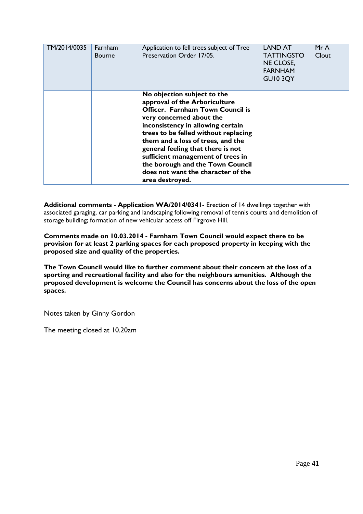| TM/2014/0035 | Farnham<br><b>Bourne</b> | Application to fell trees subject of Tree<br>Preservation Order 17/05.                                                                                                                                                                                                                                                                                                                                                | <b>LAND AT</b><br><b>TATTINGSTO</b><br>NE CLOSE,<br><b>FARNHAM</b><br><b>GUI0 3QY</b> | MrA<br>Clout |
|--------------|--------------------------|-----------------------------------------------------------------------------------------------------------------------------------------------------------------------------------------------------------------------------------------------------------------------------------------------------------------------------------------------------------------------------------------------------------------------|---------------------------------------------------------------------------------------|--------------|
|              |                          | No objection subject to the<br>approval of the Arboriculture<br>Officer. Farnham Town Council is<br>very concerned about the<br>inconsistency in allowing certain<br>trees to be felled without replacing<br>them and a loss of trees, and the<br>general feeling that there is not<br>sufficient management of trees in<br>the borough and the Town Council<br>does not want the character of the<br>area destroyed. |                                                                                       |              |

**Additional comments - Application WA/2014/0341-** Erection of 14 dwellings together with associated garaging, car parking and landscaping following removal of tennis courts and demolition of storage building; formation of new vehicular access off Firgrove Hill.

**Comments made on 10.03.2014 - Farnham Town Council would expect there to be provision for at least 2 parking spaces for each proposed property in keeping with the proposed size and quality of the properties.**

**The Town Council would like to further comment about their concern at the loss of a sporting and recreational facility and also for the neighbours amenities. Although the proposed development is welcome the Council has concerns about the loss of the open spaces.**

Notes taken by Ginny Gordon

The meeting closed at 10.20am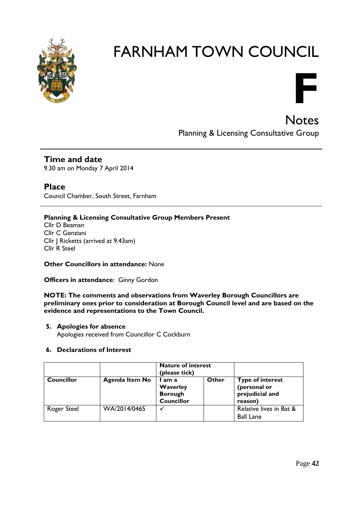



**Notes** Planning & Licensing Consultative Group

**Time and date** 9.30 am on Monday 7 April 2014

**Place** Council Chamber, South Street, Farnham

# **Planning & Licensing Consultative Group Members Present**

Cllr D Beaman Cllr C Genziani Cllr J Ricketts (arrived at 9.43am) Cllr R Steel

**Other Councillors in attendance:** None

**Officers in attendance**: Ginny Gordon

**NOTE: The comments and observations from Waverley Borough Councillors are preliminary ones prior to consideration at Borough Council level and are based on the evidence and representations to the Town Council.**

# **5. Apologies for absence**

Apologies received from Councillor C Cockburn

# **6. Declarations of Interest**

|             |                       | <b>Nature of interest</b><br>(please tick)                |       |                                                                       |
|-------------|-----------------------|-----------------------------------------------------------|-------|-----------------------------------------------------------------------|
| Councillor  | <b>Agenda Item No</b> | I am a<br>Waverley<br><b>Borough</b><br><b>Councillor</b> | Other | <b>Type of interest</b><br>(personal or<br>prejudicial and<br>reason) |
| Roger Steel | WA/2014/0465          |                                                           |       | Relative lives in Bat &<br><b>Ball Lane</b>                           |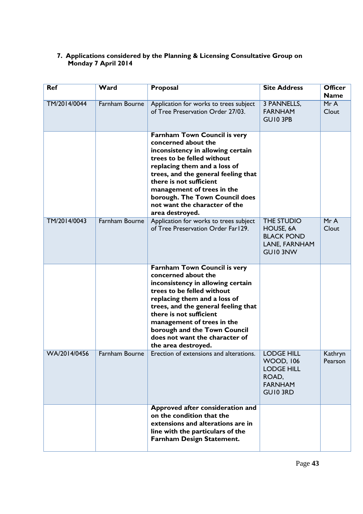# **7. Applications considered by the Planning & Licensing Consultative Group on Monday 7 April 2014**

| <b>Ref</b>   | Ward                  | Proposal                                                                                                                                                                                                                                                                                                                                               | <b>Site Address</b>                                                                               | <b>Officer</b><br><b>Name</b> |
|--------------|-----------------------|--------------------------------------------------------------------------------------------------------------------------------------------------------------------------------------------------------------------------------------------------------------------------------------------------------------------------------------------------------|---------------------------------------------------------------------------------------------------|-------------------------------|
| TM/2014/0044 | <b>Farnham Bourne</b> | Application for works to trees subject<br>of Tree Preservation Order 27/03.                                                                                                                                                                                                                                                                            | 3 PANNELLS,<br><b>FARNHAM</b><br>GUI0 3PB                                                         | MrA<br>Clout                  |
|              |                       | <b>Farnham Town Council is very</b><br>concerned about the<br>inconsistency in allowing certain<br>trees to be felled without<br>replacing them and a loss of<br>trees, and the general feeling that<br>there is not sufficient<br>management of trees in the<br>borough. The Town Council does<br>not want the character of the<br>area destroyed.    |                                                                                                   |                               |
| TM/2014/0043 | Farnham Bourne        | Application for works to trees subject<br>of Tree Preservation Order Far129.                                                                                                                                                                                                                                                                           | THE STUDIO<br>HOUSE, 6A<br><b>BLACK POND</b><br>LANE, FARNHAM<br>GUI0 3NW                         | MrA<br>Clout                  |
|              |                       | <b>Farnham Town Council is very</b><br>concerned about the<br>inconsistency in allowing certain<br>trees to be felled without<br>replacing them and a loss of<br>trees, and the general feeling that<br>there is not sufficient<br>management of trees in the<br>borough and the Town Council<br>does not want the character of<br>the area destroyed. |                                                                                                   |                               |
| WA/2014/0456 | Farnham Bourne        | Erection of extensions and alterations.                                                                                                                                                                                                                                                                                                                | <b>LODGE HILL</b><br><b>WOOD, 106</b><br><b>LODGE HILL</b><br>ROAD,<br><b>FARNHAM</b><br>GUI0 3RD | Kathryn<br>Pearson            |
|              |                       | Approved after consideration and<br>on the condition that the<br>extensions and alterations are in<br>line with the particulars of the<br>Farnham Design Statement.                                                                                                                                                                                    |                                                                                                   |                               |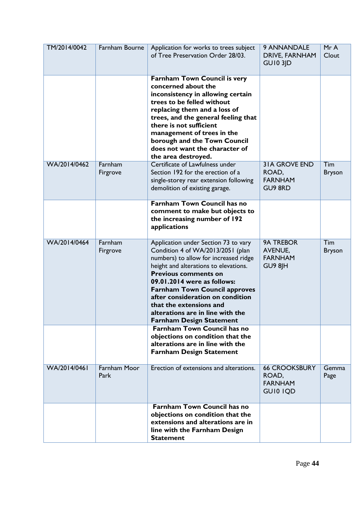| TM/2014/0042 | Farnham Bourne       | Application for works to trees subject<br>of Tree Preservation Order 28/03.                                                                                                                                                                                                                                                                                                                             | 9 ANNANDALE<br>DRIVE, FARNHAM<br><b>GUI0 3JD</b>                  | MrA<br>Clout         |
|--------------|----------------------|---------------------------------------------------------------------------------------------------------------------------------------------------------------------------------------------------------------------------------------------------------------------------------------------------------------------------------------------------------------------------------------------------------|-------------------------------------------------------------------|----------------------|
|              |                      | <b>Farnham Town Council is very</b><br>concerned about the<br>inconsistency in allowing certain<br>trees to be felled without<br>replacing them and a loss of<br>trees, and the general feeling that<br>there is not sufficient<br>management of trees in the<br>borough and the Town Council<br>does not want the character of<br>the area destroyed.                                                  |                                                                   |                      |
| WA/2014/0462 | Farnham<br>Firgrove  | Certificate of Lawfulness under<br>Section 192 for the erection of a<br>single-storey rear extension following<br>demolition of existing garage.                                                                                                                                                                                                                                                        | <b>31A GROVE END</b><br>ROAD,<br><b>FARNHAM</b><br><b>GU9 8RD</b> | Tim<br><b>Bryson</b> |
|              |                      | <b>Farnham Town Council has no</b><br>comment to make but objects to<br>the increasing number of 192<br>applications                                                                                                                                                                                                                                                                                    |                                                                   |                      |
| WA/2014/0464 | Farnham<br>Firgrove  | Application under Section 73 to vary<br>Condition 4 of WA/2013/2051 (plan<br>numbers) to allow for increased ridge<br>height and alterations to elevations.<br><b>Previous comments on</b><br>09.01.2014 were as follows:<br><b>Farnham Town Council approves</b><br>after consideration on condition<br>that the extensions and<br>alterations are in line with the<br><b>Farnham Design Statement</b> | <b>9A TREBOR</b><br><b>AVENUE,</b><br><b>FARNHAM</b><br>GU9 8JH   | Tim<br><b>Bryson</b> |
|              |                      | <b>Farnham Town Council has no</b><br>objections on condition that the<br>alterations are in line with the<br><b>Farnham Design Statement</b>                                                                                                                                                                                                                                                           |                                                                   |                      |
| WA/2014/0461 | Farnham Moor<br>Park | Erection of extensions and alterations.                                                                                                                                                                                                                                                                                                                                                                 | <b>66 CROOKSBURY</b><br>ROAD,<br><b>FARNHAM</b><br>GUI0 IQD       | Gemma<br>Page        |
|              |                      | <b>Farnham Town Council has no</b><br>objections on condition that the<br>extensions and alterations are in<br>line with the Farnham Design<br><b>Statement</b>                                                                                                                                                                                                                                         |                                                                   |                      |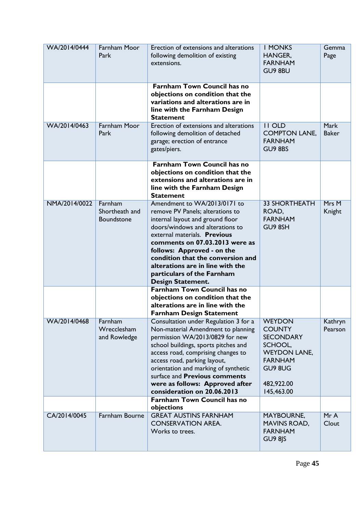| WA/2014/0444  | Farnham Moor<br>Park                    | Erection of extensions and alterations<br>following demolition of existing<br>extensions.                                                                                                                                                                                                                                                                                      | <b>I MONKS</b><br>HANGER,<br><b>FARNHAM</b><br>GU9 8BU                                                                                        | Gemma<br>Page               |
|---------------|-----------------------------------------|--------------------------------------------------------------------------------------------------------------------------------------------------------------------------------------------------------------------------------------------------------------------------------------------------------------------------------------------------------------------------------|-----------------------------------------------------------------------------------------------------------------------------------------------|-----------------------------|
|               |                                         | <b>Farnham Town Council has no</b><br>objections on condition that the<br>variations and alterations are in<br>line with the Farnham Design<br><b>Statement</b>                                                                                                                                                                                                                |                                                                                                                                               |                             |
| WA/2014/0463  | <b>Farnham Moor</b><br>Park             | Erection of extensions and alterations<br>following demolition of detached<br>garage; erection of entrance<br>gates/piers.                                                                                                                                                                                                                                                     | <b>II OLD</b><br><b>COMPTON LANE,</b><br><b>FARNHAM</b><br><b>GU9 8BS</b>                                                                     | <b>Mark</b><br><b>Baker</b> |
|               |                                         | <b>Farnham Town Council has no</b><br>objections on condition that the<br>extensions and alterations are in<br>line with the Farnham Design<br><b>Statement</b>                                                                                                                                                                                                                |                                                                                                                                               |                             |
| NMA/2014/0022 | Farnham<br>Shortheath and<br>Boundstone | Amendment to WA/2013/0171 to<br>remove PV Panels; alterations to<br>internal layout and ground floor<br>doors/windows and alterations to<br>external materials. Previous<br>comments on 07.03.2013 were as<br>follows: Approved - on the<br>condition that the conversion and<br>alterations are in line with the<br>particulars of the Farnham<br><b>Design Statement.</b>    | <b>33 SHORTHEATH</b><br>ROAD,<br><b>FARNHAM</b><br>GU9 8SH                                                                                    | Mrs M<br>Knight             |
|               |                                         | <b>Farnham Town Council has no</b><br>objections on condition that the<br>alterations are in line with the<br><b>Farnham Design Statement</b>                                                                                                                                                                                                                                  |                                                                                                                                               |                             |
| WA/2014/0468  | Farnham<br>Wrecclesham<br>and Rowledge  | Consultation under Regulation 3 for a<br>Non-material Amendment to planning<br>permission WA/2013/0829 for new<br>school buildings, sports pitches and<br>access road, comprising changes to<br>access road, parking layout,<br>orientation and marking of synthetic<br>surface and <b>Previous comments</b><br>were as follows: Approved after<br>consideration on 20.06.2013 | <b>WEYDON</b><br><b>COUNTY</b><br><b>SECONDARY</b><br>SCHOOL,<br><b>WEYDON LANE,</b><br><b>FARNHAM</b><br>GU9 8UG<br>482,922.00<br>145,463.00 | Kathryn<br>Pearson          |
|               |                                         | <b>Farnham Town Council has no</b><br>objections                                                                                                                                                                                                                                                                                                                               |                                                                                                                                               |                             |
| CA/2014/0045  | Farnham Bourne                          | <b>GREAT AUSTINS FARNHAM</b><br><b>CONSERVATION AREA.</b><br>Works to trees.                                                                                                                                                                                                                                                                                                   | MAYBOURNE,<br><b>MAVINS ROAD,</b><br><b>FARNHAM</b><br><b>GU9 8JS</b>                                                                         | MrA<br>Clout                |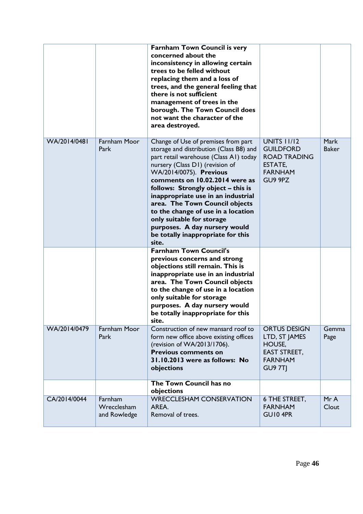|              |                                        | <b>Farnham Town Council is very</b><br>concerned about the<br>inconsistency in allowing certain<br>trees to be felled without<br>replacing them and a loss of<br>trees, and the general feeling that<br>there is not sufficient<br>management of trees in the<br>borough. The Town Council does<br>not want the character of the<br>area destroyed.                                                                                                                                      |                                                                                                              |                             |
|--------------|----------------------------------------|------------------------------------------------------------------------------------------------------------------------------------------------------------------------------------------------------------------------------------------------------------------------------------------------------------------------------------------------------------------------------------------------------------------------------------------------------------------------------------------|--------------------------------------------------------------------------------------------------------------|-----------------------------|
| WA/2014/0481 | <b>Farnham Moor</b><br>Park            | Change of Use of premises from part<br>storage and distribution (Class B8) and<br>part retail warehouse (Class A1) today<br>nursery (Class D1) (revision of<br>WA/2014/0075). Previous<br>comments on 10.02.2014 were as<br>follows: Strongly object - this is<br>inappropriate use in an industrial<br>area. The Town Council objects<br>to the change of use in a location<br>only suitable for storage<br>purposes. A day nursery would<br>be totally inappropriate for this<br>site. | <b>UNITS 11/12</b><br><b>GUILDFORD</b><br><b>ROAD TRADING</b><br><b>ESTATE,</b><br><b>FARNHAM</b><br>GU9 9PZ | <b>Mark</b><br><b>Baker</b> |
|              |                                        | <b>Farnham Town Council's</b><br>previous concerns and strong<br>objections still remain. This is<br>inappropriate use in an industrial<br>area. The Town Council objects<br>to the change of use in a location<br>only suitable for storage<br>purposes. A day nursery would<br>be totally inappropriate for this<br>site.                                                                                                                                                              |                                                                                                              |                             |
| WA/2014/0479 | Farnham Moor<br>Park                   | Construction of new mansard roof to<br>form new office above existing offices<br>(revision of WA/2013/1706).<br><b>Previous comments on</b><br>31.10.2013 were as follows: No<br>objections                                                                                                                                                                                                                                                                                              | <b>ORTUS DESIGN</b><br>LTD, ST JAMES<br>HOUSE,<br><b>EAST STREET,</b><br><b>FARNHAM</b><br><b>GU9 7TJ</b>    | Gemma<br>Page               |
|              |                                        | The Town Council has no<br>objections                                                                                                                                                                                                                                                                                                                                                                                                                                                    |                                                                                                              |                             |
| CA/2014/0044 | Farnham<br>Wrecclesham<br>and Rowledge | <b>WRECCLESHAM CONSERVATION</b><br>AREA.<br>Removal of trees.                                                                                                                                                                                                                                                                                                                                                                                                                            | 6 THE STREET,<br><b>FARNHAM</b><br>GUI0 4PR                                                                  | MrA<br>Clout                |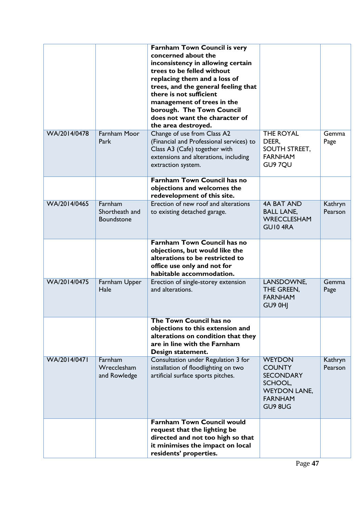|              |                                                | <b>Farnham Town Council is very</b><br>concerned about the<br>inconsistency in allowing certain<br>trees to be felled without<br>replacing them and a loss of<br>trees, and the general feeling that<br>there is not sufficient<br>management of trees in the<br>borough. The Town Council<br>does not want the character of |                                                                                                                   |                    |
|--------------|------------------------------------------------|------------------------------------------------------------------------------------------------------------------------------------------------------------------------------------------------------------------------------------------------------------------------------------------------------------------------------|-------------------------------------------------------------------------------------------------------------------|--------------------|
| WA/2014/0478 | <b>Farnham Moor</b><br>Park                    | the area destroyed.<br>Change of use from Class A2<br>(Financial and Professional services) to<br>Class A3 (Cafe) together with<br>extensions and alterations, including<br>extraction system.                                                                                                                               | <b>THE ROYAL</b><br>DEER,<br>SOUTH STREET,<br><b>FARNHAM</b><br>GU9 7QU                                           | Gemma<br>Page      |
|              |                                                | <b>Farnham Town Council has no</b><br>objections and welcomes the<br>redevelopment of this site.                                                                                                                                                                                                                             |                                                                                                                   |                    |
| WA/2014/0465 | Farnham<br>Shortheath and<br><b>Boundstone</b> | Erection of new roof and alterations<br>to existing detached garage.                                                                                                                                                                                                                                                         | <b>4A BAT AND</b><br><b>BALL LANE,</b><br><b>WRECCLESHAM</b><br>GUI04RA                                           | Kathryn<br>Pearson |
|              |                                                | <b>Farnham Town Council has no</b><br>objections, but would like the<br>alterations to be restricted to<br>office use only and not for<br>habitable accommodation.                                                                                                                                                           |                                                                                                                   |                    |
| WA/2014/0475 | Farnham Upper<br>Hale                          | Erection of single-storey extension<br>and alterations.                                                                                                                                                                                                                                                                      | LANSDOWNE,<br>THE GREEN,<br><b>FARNHAM</b><br>GU9 0HJ                                                             | Gemma<br>Page      |
|              |                                                | The Town Council has no<br>objections to this extension and<br>alterations on condition that they<br>are in line with the Farnham<br>Design statement.                                                                                                                                                                       |                                                                                                                   |                    |
| WA/2014/0471 | Farnham<br>Wrecclesham<br>and Rowledge         | Consultation under Regulation 3 for<br>installation of floodlighting on two<br>artificial surface sports pitches.                                                                                                                                                                                                            | <b>WEYDON</b><br><b>COUNTY</b><br><b>SECONDARY</b><br>SCHOOL,<br><b>WEYDON LANE,</b><br><b>FARNHAM</b><br>GU9 8UG | Kathryn<br>Pearson |
|              |                                                | <b>Farnham Town Council would</b><br>request that the lighting be<br>directed and not too high so that<br>it minimises the impact on local<br>residents' properties.                                                                                                                                                         |                                                                                                                   |                    |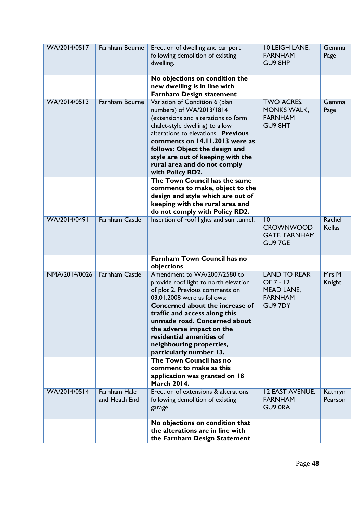| WA/2014/0517  | Farnham Bourne                       | Erection of dwelling and car port<br>following demolition of existing<br>dwelling.                                                                                                                                                                                                                                                                          | <b>10 LEIGH LANE,</b><br><b>FARNHAM</b><br>GU9 8HP                                 | Gemma<br>Page           |
|---------------|--------------------------------------|-------------------------------------------------------------------------------------------------------------------------------------------------------------------------------------------------------------------------------------------------------------------------------------------------------------------------------------------------------------|------------------------------------------------------------------------------------|-------------------------|
|               |                                      | No objections on condition the<br>new dwelling is in line with<br><b>Farnham Design statement</b>                                                                                                                                                                                                                                                           |                                                                                    |                         |
| WA/2014/0513  | Farnham Bourne                       | Variation of Condition 6 (plan<br>numbers) of WA/2013/1814<br>(extensions and alterations to form<br>chalet-style dwelling) to allow<br>alterations to elevations. Previous<br>comments on 14.11.2013 were as<br>follows: Object the design and<br>style are out of keeping with the<br>rural area and do not comply<br>with Policy RD2.                    | TWO ACRES,<br><b>MONKS WALK,</b><br><b>FARNHAM</b><br>GU9 8HT                      | Gemma<br>Page           |
|               |                                      | The Town Council has the same<br>comments to make, object to the<br>design and style which are out of<br>keeping with the rural area and<br>do not comply with Policy RD2.                                                                                                                                                                                  |                                                                                    |                         |
| WA/2014/0491  | <b>Farnham Castle</b>                | Insertion of roof lights and sun tunnel.                                                                                                                                                                                                                                                                                                                    | 10<br><b>CROWNWOOD</b><br><b>GATE, FARNHAM</b><br>GU9 7GE                          | Rachel<br><b>Kellas</b> |
|               |                                      | <b>Farnham Town Council has no</b><br>objections                                                                                                                                                                                                                                                                                                            |                                                                                    |                         |
| NMA/2014/0026 | <b>Farnham Castle</b>                | Amendment to WA/2007/2580 to<br>provide roof light to north elevation<br>of plot 2. Previous comments on<br>03.01.2008 were as follows:<br>Concerned about the increase of<br>traffic and access along this<br>unmade road. Concerned about<br>the adverse impact on the<br>residential amenities of<br>neighbouring properties,<br>particularly number 13. | <b>LAND TO REAR</b><br>OF 7 - 12<br><b>MEAD LANE,</b><br><b>FARNHAM</b><br>GU9 7DY | Mrs M<br>Knight         |
|               |                                      | The Town Council has no<br>comment to make as this<br>application was granted on 18<br><b>March 2014.</b>                                                                                                                                                                                                                                                   |                                                                                    |                         |
| WA/2014/0514  | <b>Farnham Hale</b><br>and Heath End | Erection of extensions & alterations<br>following demolition of existing<br>garage.                                                                                                                                                                                                                                                                         | <b>12 EAST AVENUE,</b><br><b>FARNHAM</b><br>GU9 ORA                                | Kathryn<br>Pearson      |
|               |                                      | No objections on condition that<br>the alterations are in line with<br>the Farnham Design Statement                                                                                                                                                                                                                                                         |                                                                                    |                         |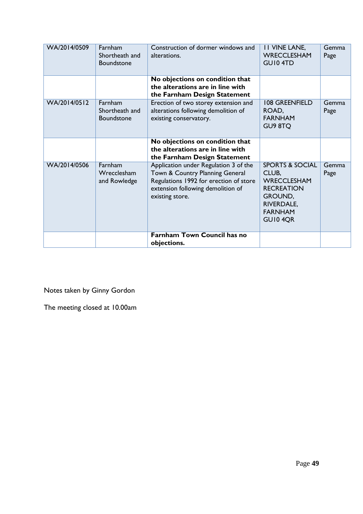| WA/2014/0509 | Farnham<br>Shortheath and<br><b>Boundstone</b>        | Construction of dormer windows and<br>alterations.                                                                                                                         | <b>II VINE LANE,</b><br><b>WRECCLESHAM</b><br>GUI04TD                                                                                | Gemma<br>Page |
|--------------|-------------------------------------------------------|----------------------------------------------------------------------------------------------------------------------------------------------------------------------------|--------------------------------------------------------------------------------------------------------------------------------------|---------------|
|              |                                                       | No objections on condition that<br>the alterations are in line with<br>the Farnham Design Statement                                                                        |                                                                                                                                      |               |
| WA/2014/0512 | <b>Farnham</b><br>Shortheath and<br><b>Boundstone</b> | Erection of two storey extension and<br>alterations following demolition of<br>existing conservatory.                                                                      | <b>108 GREENFIELD</b><br>ROAD,<br><b>FARNHAM</b><br>GU9 8TQ                                                                          | Gemma<br>Page |
|              |                                                       | No objections on condition that<br>the alterations are in line with<br>the Farnham Design Statement                                                                        |                                                                                                                                      |               |
| WA/2014/0506 | Farnham<br>Wrecclesham<br>and Rowledge                | Application under Regulation 3 of the<br>Town & Country Planning General<br>Regulations 1992 for erection of store<br>extension following demolition of<br>existing store. | <b>SPORTS &amp; SOCIAL</b><br>CLUB,<br>WRECCLESHAM<br><b>RECREATION</b><br>GROUND,<br><b>RIVERDALE,</b><br><b>FARNHAM</b><br>GUI04QR | Gemma<br>Page |
|              |                                                       | <b>Farnham Town Council has no</b><br>objections.                                                                                                                          |                                                                                                                                      |               |

Notes taken by Ginny Gordon

The meeting closed at 10.00am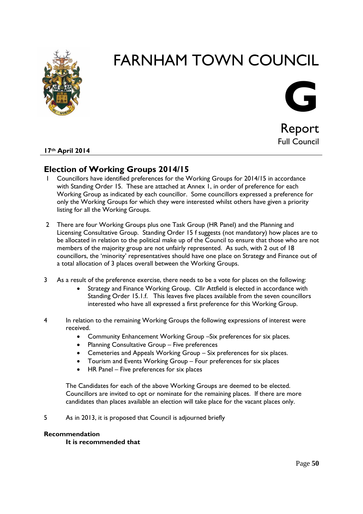



Report Full Council

# **17th April 2014**

# **Election of Working Groups 2014/15**

- 1 Councillors have identified preferences for the Working Groups for 2014/15 in accordance with Standing Order 15. These are attached at Annex 1, in order of preference for each Working Group as indicated by each councillor. Some councillors expressed a preference for only the Working Groups for which they were interested whilst others have given a priority listing for all the Working Groups.
- 2 There are four Working Groups plus one Task Group (HR Panel) and the Planning and Licensing Consultative Group. Standing Order 15 f suggests (not mandatory) how places are to be allocated in relation to the political make up of the Council to ensure that those who are not members of the majority group are not unfairly represented. As such, with 2 out of 18 councillors, the 'minority' representatives should have one place on Strategy and Finance out of a total allocation of 3 places overall between the Working Groups.
- 3 As a result of the preference exercise, there needs to be a vote for places on the following:
	- Strategy and Finance Working Group. Cllr Attfield is elected in accordance with Standing Order 15.1.f. This leaves five places available from the seven councillors interested who have all expressed a first preference for this Working Group.
- 4 In relation to the remaining Working Groups the following expressions of interest were received.
	- Community Enhancement Working Group –Six preferences for six places.
	- Planning Consultative Group Five preferences
	- Cemeteries and Appeals Working Group Six preferences for six places.
	- Tourism and Events Working Group Four preferences for six places
	- HR Panel Five preferences for six places

The Candidates for each of the above Working Groups are deemed to be elected. Councillors are invited to opt or nominate for the remaining places. If there are more candidates than places available an election will take place for the vacant places only.

5 As in 2013, it is proposed that Council is adjourned briefly

## **Recommendation**

**It is recommended that**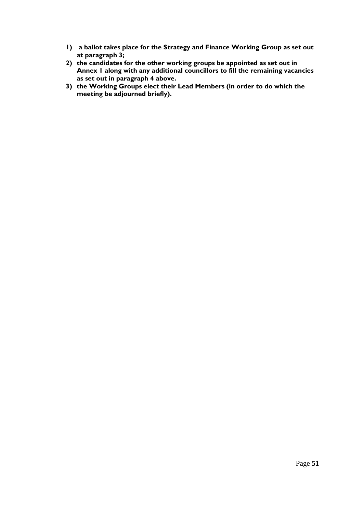- **1) a ballot takes place for the Strategy and Finance Working Group as set out at paragraph 3;**
- **2) the candidates for the other working groups be appointed as set out in Annex 1 along with any additional councillors to fill the remaining vacancies as set out in paragraph 4 above.**
- **3) the Working Groups elect their Lead Members (in order to do which the meeting be adjourned briefly).**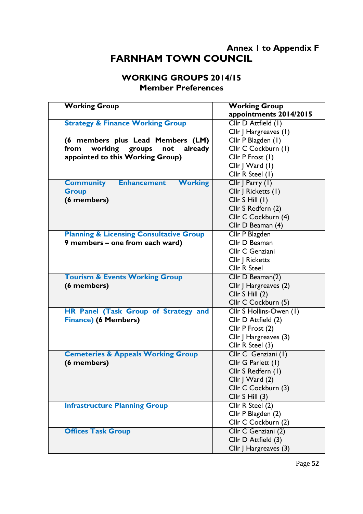# **Annex 1 to Appendix F FARNHAM TOWN COUNCIL**

# **WORKING GROUPS 2014/15 Member Preferences**

| <b>Working Group</b>                                     | <b>Working Group</b>    |
|----------------------------------------------------------|-------------------------|
|                                                          | appointments 2014/2015  |
| <b>Strategy &amp; Finance Working Group</b>              | Cllr D Attfield (1)     |
|                                                          | Cllr J Hargreaves (1)   |
| (6 members plus Lead Members (LM)                        | Cllr P Blagden (1)      |
| working groups<br>from<br>not<br>already                 | Cllr C Cockburn (1)     |
| appointed to this Working Group)                         | Cllr P Frost (1)        |
|                                                          | Cllr   Ward (1)         |
|                                                          | Cllr R Steel (1)        |
| <b>Enhancement</b><br><b>Working</b><br><b>Community</b> | Cllr   Parry (1)        |
| <b>Group</b>                                             | Cllr   Ricketts (1)     |
| (6 members)                                              | Cllr S Hill (1)         |
|                                                          | Cllr S Redfern (2)      |
|                                                          | Cllr C Cockburn (4)     |
|                                                          | Cllr D Beaman (4)       |
| <b>Planning &amp; Licensing Consultative Group</b>       | Cllr P Blagden          |
| 9 members - one from each ward)                          | Cllr D Beaman           |
|                                                          | Cllr C Genziani         |
|                                                          | Cllr   Ricketts         |
|                                                          | <b>Cllr R Steel</b>     |
| <b>Tourism &amp; Events Working Group</b>                | Cllr D Beaman(2)        |
| (6 members)                                              | Cllr J Hargreaves (2)   |
|                                                          | Cllr S Hill (2)         |
|                                                          | Cllr C Cockburn (5)     |
| HR Panel (Task Group of Strategy and                     | Cllr S Hollins-Owen (1) |
| <b>Finance) (6 Members)</b>                              | Cllr D Attfield (2)     |
|                                                          | Cllr P Frost (2)        |
|                                                          | Cllr J Hargreaves (3)   |
|                                                          | Cllr R Steel (3)        |
| <b>Cemeteries &amp; Appeals Working Group</b>            | Cllr C Genziani (1)     |
| (6 members)                                              | Cllr G Parlett (1)      |
|                                                          | Cllr S Redfern (1)      |
|                                                          | Cllr   Ward (2)         |
|                                                          | Cllr C Cockburn (3)     |
|                                                          | Cllr S Hill (3)         |
| <b>Infrastructure Planning Group</b>                     | Cllr R Steel (2)        |
|                                                          | Cllr P Blagden (2)      |
|                                                          | Cllr C Cockburn (2)     |
| <b>Offices Task Group</b>                                | Cllr C Genziani (2)     |
|                                                          | Cllr D Attfield (3)     |
|                                                          | Cllr   Hargreaves (3)   |
|                                                          |                         |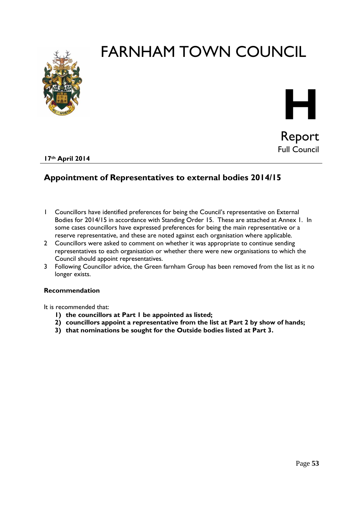



**17th April 2014**

# **Appointment of Representatives to external bodies 2014/15**

- 1 Councillors have identified preferences for being the Council's representative on External Bodies for 2014/15 in accordance with Standing Order 15. These are attached at Annex 1. In some cases councillors have expressed preferences for being the main representative or a reserve representative, and these are noted against each organisation where applicable.
- 2 Councillors were asked to comment on whether it was appropriate to continue sending representatives to each organisation or whether there were new organisations to which the Council should appoint representatives.
- 3 Following Councillor advice, the Green farnham Group has been removed from the list as it no longer exists.

# **Recommendation**

It is recommended that:

- **1) the councillors at Part 1 be appointed as listed;**
- **2) councillors appoint a representative from the list at Part 2 by show of hands;**
- **3) that nominations be sought for the Outside bodies listed at Part 3.**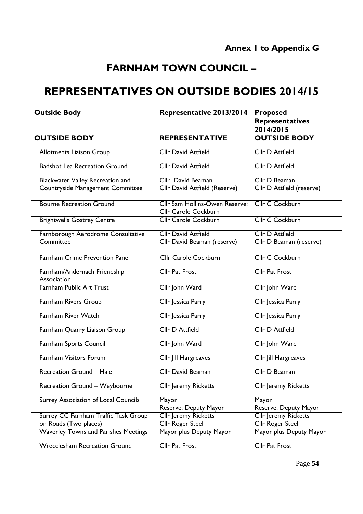# **REPRESENTATIVES ON OUTSIDE BODIES 2014/15**

| <b>Outside Body</b>                         | Representative 2013/2014                                      | <b>Proposed</b><br><b>Representatives</b> |
|---------------------------------------------|---------------------------------------------------------------|-------------------------------------------|
|                                             |                                                               | 2014/2015                                 |
| <b>OUTSIDE BODY</b>                         | <b>REPRESENTATIVE</b>                                         | <b>OUTSIDE BODY</b>                       |
| <b>Allotments Liaison Group</b>             | <b>Cllr David Attfield</b>                                    | <b>Cllr D Attfield</b>                    |
| <b>Badshot Lea Recreation Ground</b>        | <b>Cllr David Attfield</b>                                    | <b>Cllr D Attfield</b>                    |
| <b>Blackwater Valley Recreation and</b>     | Cllr David Beaman                                             | Cllr D Beaman                             |
| Countryside Management Committee            | Cllr David Attfield (Reserve)                                 | Cllr D Attfield (reserve)                 |
| <b>Bourne Recreation Ground</b>             | <b>Cllr Sam Hollins-Owen Reserve:</b><br>Cllr Carole Cockburn | <b>Cllr C Cockburn</b>                    |
| <b>Brightwells Gostrey Centre</b>           | <b>Cllr Carole Cockburn</b>                                   | Cllr C Cockburn                           |
| Farnborough Aerodrome Consultative          | <b>Cllr David Attfield</b>                                    | <b>Cllr D Attfield</b>                    |
| Committee                                   | Cllr David Beaman (reserve)                                   | Cllr D Beaman (reserve)                   |
| <b>Farnham Crime Prevention Panel</b>       | <b>Cllr Carole Cockburn</b>                                   | <b>Cllr C Cockburn</b>                    |
| Farnham/Andernach Friendship<br>Association | <b>Cllr Pat Frost</b>                                         | <b>Cllr Pat Frost</b>                     |
| Farnham Public Art Trust                    | Cllr John Ward                                                | Cllr John Ward                            |
| Farnham Rivers Group                        | Cllr Jessica Parry                                            | Cllr Jessica Parry                        |
| <b>Farnham River Watch</b>                  | Cllr Jessica Parry                                            | Cllr Jessica Parry                        |
| Farnham Quarry Liaison Group                | <b>Cllr D Attfield</b>                                        | <b>Cllr D Attfield</b>                    |
| Farnham Sports Council                      | Cllr John Ward                                                | Cllr John Ward                            |
| <b>Farnham Visitors Forum</b>               | <b>Cllr Jill Hargreaves</b>                                   | <b>Cllr Jill Hargreaves</b>               |
| <b>Recreation Ground - Hale</b>             | <b>Cllr David Beaman</b>                                      | Cllr D Beaman                             |
| Recreation Ground - Weybourne               | Cllr Jeremy Ricketts                                          | Cllr Jeremy Ricketts                      |
| <b>Surrey Association of Local Councils</b> | Mayor                                                         | Mayor                                     |
|                                             | Reserve: Deputy Mayor                                         | Reserve: Deputy Mayor                     |
| Surrey CC Farnham Traffic Task Group        | Cllr Jeremy Ricketts                                          | <b>Cllr Jeremy Ricketts</b>               |
| on Roads (Two places)                       | Cllr Roger Steel                                              | Cllr Roger Steel                          |
| <b>Waverley Towns and Parishes Meetings</b> | Mayor plus Deputy Mayor                                       | Mayor plus Deputy Mayor                   |
| <b>Wrecclesham Recreation Ground</b>        | <b>Cllr Pat Frost</b>                                         | <b>Cllr Pat Frost</b>                     |